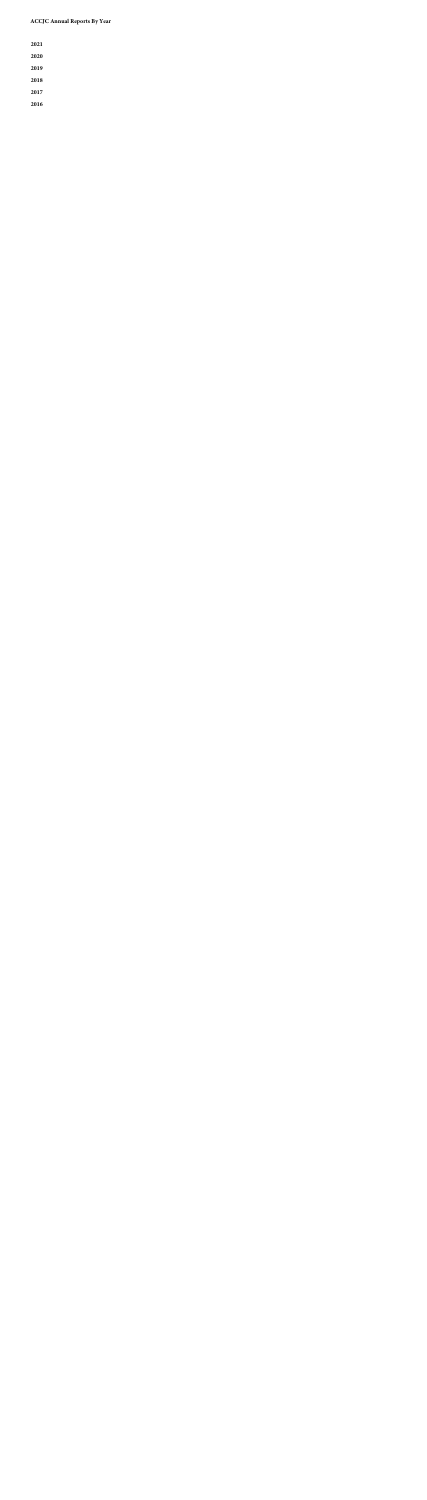| 2021 |  |  |  |
|------|--|--|--|
| 2020 |  |  |  |
| 2019 |  |  |  |
| 2018 |  |  |  |
| 2017 |  |  |  |
| 2016 |  |  |  |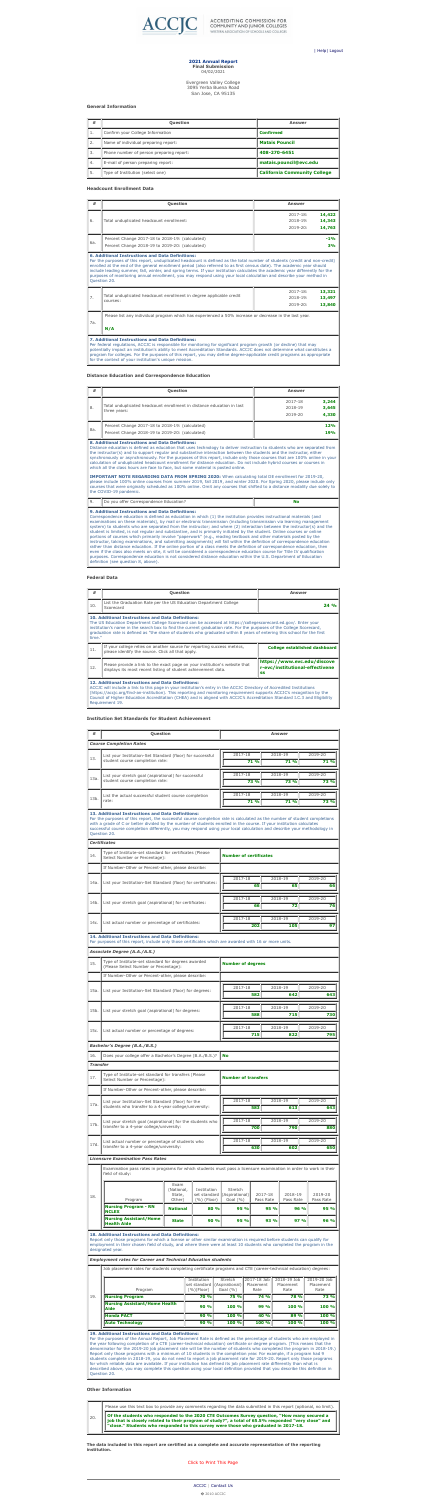

**ACCREDITING COMMISSION FOR** COMMUNITY AND JUNIOR COLLEGES WESTERN ASSOCIATION OF SCHOOLS AND COLLEGES

| Help| Logout

# **2021 Annual Report Final Submission**

04/02/2021

Evergreen Valley College 3095 Yerba Buena Road San Jose, CA 95135

# <span id="page-1-0"></span>**General Information**

| #         | <b>Question</b>                          | <b>Answer</b>                       |
|-----------|------------------------------------------|-------------------------------------|
| <b>L.</b> | Confirm your College Information         | <b>Confirmed</b>                    |
| 2.        | Name of individual preparing report:     | <b>Matais Pouncil</b>               |
| 3.        | Phone number of person preparing report: | 408-270-6451                        |
| 4.        | E-mail of person preparing report:       | matais.pouncil@evc.edu              |
| 5.        | Type of Institution (select one)         | <b>California Community College</b> |

# **Headcount Enrollment Data**

| #                                                                                                                   | Question                                                                                                                                                                                                                                                                                                                                                                                                                                                                                                                                                                              | <b>Answer</b>          |  |  |  |  |
|---------------------------------------------------------------------------------------------------------------------|---------------------------------------------------------------------------------------------------------------------------------------------------------------------------------------------------------------------------------------------------------------------------------------------------------------------------------------------------------------------------------------------------------------------------------------------------------------------------------------------------------------------------------------------------------------------------------------|------------------------|--|--|--|--|
|                                                                                                                     |                                                                                                                                                                                                                                                                                                                                                                                                                                                                                                                                                                                       | 14,422<br>$2017 - 18:$ |  |  |  |  |
| 6.                                                                                                                  | Total unduplicated headcount enrollment:                                                                                                                                                                                                                                                                                                                                                                                                                                                                                                                                              | 14,343<br>2018-19:     |  |  |  |  |
|                                                                                                                     |                                                                                                                                                                                                                                                                                                                                                                                                                                                                                                                                                                                       | 14,763<br>$2019 - 20:$ |  |  |  |  |
|                                                                                                                     | Percent Change 2017-18 to 2018-19: (calculated)                                                                                                                                                                                                                                                                                                                                                                                                                                                                                                                                       | $-1%$                  |  |  |  |  |
| 6a.                                                                                                                 | Percent Change 2018-19 to 2019-20: (calculated)                                                                                                                                                                                                                                                                                                                                                                                                                                                                                                                                       | 3%                     |  |  |  |  |
|                                                                                                                     | <b>6. Additional Instructions and Data Definitions:</b><br>For the purposes of this report, unduplicated headcount is defined as the total number of students (credit and non-credit)<br>enrolled at the end of the general enrollment period (also referred to as first census date). The academic year should<br>include leading summer, fall, winter, and spring terms. If your institution calculates the academic year differently for the<br>purposes of monitoring annual enrollment, you may respond using your local calculation and describe your method in<br>Question 20. |                        |  |  |  |  |
|                                                                                                                     |                                                                                                                                                                                                                                                                                                                                                                                                                                                                                                                                                                                       | 13,321<br>$2017 - 18:$ |  |  |  |  |
| 7.                                                                                                                  | Total unduplicated headcount enrollment in degree applicable credit<br>courses:                                                                                                                                                                                                                                                                                                                                                                                                                                                                                                       | 13,497<br>$2018 - 19:$ |  |  |  |  |
|                                                                                                                     |                                                                                                                                                                                                                                                                                                                                                                                                                                                                                                                                                                                       | 13,840<br>2019-20:     |  |  |  |  |
| Please list any individual program which has experienced a 50% increase or decrease in the last year.<br>7a.<br>N/A |                                                                                                                                                                                                                                                                                                                                                                                                                                                                                                                                                                                       |                        |  |  |  |  |
|                                                                                                                     | <b>7. Additional Instructions and Data Definitions:</b><br>Per federal regulations, ACCJC is responsible for monitoring for significant program growth (or decline) that may<br>potentially impact an institution's ability to meet Accreditation Standards. ACCJC does not determine what constitutes a<br>program for colleges. For the purposes of this report, you may define degree-applicable credit programs as appropriate                                                                                                                                                    |                        |  |  |  |  |

for the context of your institution's unique mission.

# **Distance Education and Correspondence Education**

| #   | <b>Question</b>                                                                                    | <b>Answer</b>                                            |
|-----|----------------------------------------------------------------------------------------------------|----------------------------------------------------------|
| 8.  | Total unduplicated headcount enrollment in distance education in last<br>three years:              | 3,244<br>2017-18<br>3,645<br>2018-19<br>4,330<br>2019-20 |
| 8a. | Percent Change 2017-18 to 2018-19: (calculated)<br>Percent Change 2018-19 to 2019-20: (calculated) | <b>12%</b><br>19%                                        |

# **8. Additional Instructions and Data Definitions:**

Distance education is defined as education that uses technology to deliver instruction to students who are separated from the instructor(s) and to support regular and substantive interaction between the students and the instructor, either synchronously or asynchronously. For the purposes of this report, include only those courses that are 100% online in your calculation of unduplicated headcount enrollment for distance education. Do not include hybrid courses or courses in which all the class hours are face to face, but some material is posted online.

**IMPORTANT NOTE REGARDING DATA FROM SPRING 2020:** When calculating total DE enrollment for 2019-20, please include 100% online courses from summer 2019, fall 2019, and winter 2020. For Spring 2020, please include only courses that were originally scheduled as 100% online. Omit any courses that shifted to a distance modality due solely to the COVID-19 pandemic.

| <u>.</u> | VOU –<br>Correspondence F<br>offer t<br>$\blacksquare$ |  |
|----------|--------------------------------------------------------|--|
|----------|--------------------------------------------------------|--|

# **9. Additional Instructions and Data Definitions:**

Correspondence education is defined as education in which (1) the institution provides instructional materials (and examinations on these materials), by mail or electronic transmission (including transmission via learning management system) to students who are separated from the instructor; and where (2) interaction between the instructor(s) and the student is limited, is not regular and substantive, and is primarily initiated by the student. Online courses or online portions of courses which primarily involve "paperwork" (e.g., reading textbook and other materials posted by the instructor, taking examinations, and submitting assignments) will fall within the definition of correspondence education rather than distance education. If the online portion of a class meets the definition of correspondence education, then even if the class also meets on site, it will be considered a correspondence education course for Title IV qualification purposes. Correspondence education is not considered distance education within the U.S. Department of Education definition (see question 8, above).

| 13.             | List your Institution-Set Standard (floor) for successful                                                                                                                                                                                                                                                                                                                                                                                                | 2017-18                       | 2018-19     | 2019-20     |
|-----------------|----------------------------------------------------------------------------------------------------------------------------------------------------------------------------------------------------------------------------------------------------------------------------------------------------------------------------------------------------------------------------------------------------------------------------------------------------------|-------------------------------|-------------|-------------|
|                 | student course completion rate:                                                                                                                                                                                                                                                                                                                                                                                                                          | 71 %                          | <b>71 %</b> | <b>71 %</b> |
|                 | List your stretch goal (aspirational) for successful                                                                                                                                                                                                                                                                                                                                                                                                     | 2017-18                       | 2018-19     | 2019-20     |
| 13a.            | student course completion rate:                                                                                                                                                                                                                                                                                                                                                                                                                          | <b>73 %</b>                   | <b>73 %</b> | <b>73 %</b> |
| 13b.            | List the actual successful student course completion                                                                                                                                                                                                                                                                                                                                                                                                     | 2017-18                       | 2018-19     | 2019-20     |
|                 | rate:                                                                                                                                                                                                                                                                                                                                                                                                                                                    | 71 %                          | <b>71 %</b> | <b>73 %</b> |
|                 | <b>13. Additional Instructions and Data Definitions:</b><br>For the purposes of this report, the successful course completion rate is calculated as the number of student completions<br>with a grade of C or better divided by the number of students enrolled in the course. If your institution calculates<br>successful course completion differently, you may respond using your local calculation and describe your methodology in<br>Question 20. |                               |             |             |
|                 | <b>Certificates</b>                                                                                                                                                                                                                                                                                                                                                                                                                                      |                               |             |             |
| 14.             | Type of Institute-set standard for certificates (Please<br>Select Number or Percentage):                                                                                                                                                                                                                                                                                                                                                                 | <b>Number of certificates</b> |             |             |
|                 | If Number-Other or Percent-other, please describe:                                                                                                                                                                                                                                                                                                                                                                                                       |                               |             |             |
|                 |                                                                                                                                                                                                                                                                                                                                                                                                                                                          | 2017-18                       | 2018-19     | 2019-20     |
| 14a.            | List your Institution-Set Standard (floor) for certificates:                                                                                                                                                                                                                                                                                                                                                                                             | 65                            | 65          | 66          |
|                 |                                                                                                                                                                                                                                                                                                                                                                                                                                                          | 2017-18                       | 2018-19     | 2019-20     |
|                 | 14b. List your stretch goal (aspirational) for certificates:                                                                                                                                                                                                                                                                                                                                                                                             | 66                            | 72          | 76          |
|                 |                                                                                                                                                                                                                                                                                                                                                                                                                                                          | 2017-18                       | 2018-19     | 2019-20     |
| 14c.            | List actual number or percentage of certificates:                                                                                                                                                                                                                                                                                                                                                                                                        | 202                           | 105         | 97          |
|                 | <b>14. Additional Instructions and Data Definitions:</b><br>For purposes of this report, include only those certificates which are awarded with 16 or more units.<br><b>Associate Degree (A.A./A.S.)</b>                                                                                                                                                                                                                                                 |                               |             |             |
| 15.             | Type of Institute-set standard for degrees awarded<br>(Please Select Number or Percentage):                                                                                                                                                                                                                                                                                                                                                              | <b>Number of degrees</b>      |             |             |
|                 | If Number-Other or Percent-other, please describe:                                                                                                                                                                                                                                                                                                                                                                                                       |                               |             |             |
| 15a.            | List your Institution-Set Standard (floor) for degrees:                                                                                                                                                                                                                                                                                                                                                                                                  | 2017-18                       | 2018-19     | 2019-20     |
|                 |                                                                                                                                                                                                                                                                                                                                                                                                                                                          | 582                           | 642         | 643         |
| 15b.            |                                                                                                                                                                                                                                                                                                                                                                                                                                                          | 2017-18                       | 2018-19     | 2019-20     |
|                 | List your stretch goal (aspirational) for degrees:                                                                                                                                                                                                                                                                                                                                                                                                       | 588                           | 715         | 730         |
|                 |                                                                                                                                                                                                                                                                                                                                                                                                                                                          | 2017-18                       | 2018-19     | 2019-20     |
| 15c.            | List actual number or percentage of degrees:                                                                                                                                                                                                                                                                                                                                                                                                             | 715                           | 822         | 795         |
|                 | <b>Bachelor's Degree (B.A./B.S.)</b>                                                                                                                                                                                                                                                                                                                                                                                                                     |                               |             |             |
| 16.             | Does your college offer a Bachelor's Degree (B.A./B.S.)?                                                                                                                                                                                                                                                                                                                                                                                                 | <b>No</b>                     |             |             |
| <b>Transfer</b> |                                                                                                                                                                                                                                                                                                                                                                                                                                                          |                               |             |             |
| 17.             | Type of Institute-set standard for transfers (Please<br>Select Number or Percentage):                                                                                                                                                                                                                                                                                                                                                                    | <b>Number of transfers</b>    |             |             |
|                 | If Number-Other or Percent-other, please describe:                                                                                                                                                                                                                                                                                                                                                                                                       |                               |             |             |
|                 | List your Institution-Set Standard (floor) for the                                                                                                                                                                                                                                                                                                                                                                                                       | 2017-18                       | 2018-19     | 2019-20     |
| 17a.            | students who transfer to a 4-year college/university:                                                                                                                                                                                                                                                                                                                                                                                                    | 583                           | 613         | 643         |
|                 | List your stretch goal (aspirational) for the students who                                                                                                                                                                                                                                                                                                                                                                                               | 2017-18                       | 2018-19     | 2019-20     |
| 17b.            |                                                                                                                                                                                                                                                                                                                                                                                                                                                          |                               |             |             |

# **Federal Data**

| #                                                                                                                                                                                                                                                                                                                                                                                                                                                          | Question                                                                                                                                                                                                                                                                                                                                                                                                                               | <b>Answer</b>                        |  |  |  |  |  |
|------------------------------------------------------------------------------------------------------------------------------------------------------------------------------------------------------------------------------------------------------------------------------------------------------------------------------------------------------------------------------------------------------------------------------------------------------------|----------------------------------------------------------------------------------------------------------------------------------------------------------------------------------------------------------------------------------------------------------------------------------------------------------------------------------------------------------------------------------------------------------------------------------------|--------------------------------------|--|--|--|--|--|
| 10.                                                                                                                                                                                                                                                                                                                                                                                                                                                        | List the Graduation Rate per the US Education Department College<br>Scorecard                                                                                                                                                                                                                                                                                                                                                          | 24%                                  |  |  |  |  |  |
|                                                                                                                                                                                                                                                                                                                                                                                                                                                            | <b>10. Additional Instructions and Data Definitions:</b><br>The US Education Department College Scorecard can be accessed at https://collegescorecard.ed.gov/. Enter your<br>institution's name in the search box to find the current graduation rate. For the purposes of the College Scorecard,<br>graduation rate is defined as "the share of students who graduated within 8 years of entering this school for the first<br>time." |                                      |  |  |  |  |  |
| 11.                                                                                                                                                                                                                                                                                                                                                                                                                                                        | If your college relies on another source for reporting success metrics,<br>please identify the source. Click all that apply.                                                                                                                                                                                                                                                                                                           | <b>College established dashboard</b> |  |  |  |  |  |
| 12.                                                                                                                                                                                                                                                                                                                                                                                                                                                        | https://www.evc.edu/discove<br>Please provide a link to the exact page on your institution's website that<br>r-evc/institutional-effectivene<br>displays its most recent listing of student achievement data.<br><b>SS</b>                                                                                                                                                                                                             |                                      |  |  |  |  |  |
| <b>12. Additional Instructions and Data Definitions:</b><br>ACCJC will include a link to this page in your institution's entry in the ACCJC Directory of Accredited Institutions<br>(https://accjc.org/find-an-institution). This reporting and monitoring requirement supports ACCJC's recognition by the<br>Council of Higher Education Accreditation (CHEA) and is aligned with ACCJC's Accreditation Standard I.C.3 and Eligibility<br>Requirement 19. |                                                                                                                                                                                                                                                                                                                                                                                                                                        |                                      |  |  |  |  |  |

# **Institution Set Standards for Student Achievement**

| #<br>Question |                                | <b>Answer</b> |
|---------------|--------------------------------|---------------|
|               | <b>Course Completion Rates</b> |               |
|               |                                |               |

| 1/D <sub>1</sub> | transfer to a 4-year college/university:                                                                                             |                                        |                                               |                                                        | 700                                                      | 790                  | 880                  |  |  |  |  |
|------------------|--------------------------------------------------------------------------------------------------------------------------------------|----------------------------------------|-----------------------------------------------|--------------------------------------------------------|----------------------------------------------------------|----------------------|----------------------|--|--|--|--|
|                  |                                                                                                                                      |                                        |                                               |                                                        |                                                          |                      |                      |  |  |  |  |
| 17d.             | List actual number or percentage of students who<br>transfer to a 4-year college/university:                                         |                                        |                                               | 2017-18                                                |                                                          | 2018-19              | 2019-20              |  |  |  |  |
|                  |                                                                                                                                      |                                        |                                               |                                                        | 630                                                      | 602                  | 650                  |  |  |  |  |
|                  | <b>Licensure Examination Pass Rates</b>                                                                                              |                                        |                                               |                                                        |                                                          |                      |                      |  |  |  |  |
|                  | Examination pass rates in programs for which students must pass a licensure examination in order to work in their<br>field of study: |                                        |                                               |                                                        |                                                          |                      |                      |  |  |  |  |
| 18.              | Program                                                                                                                              | Exam<br>(National,<br>State,<br>Other) | Institution<br>set standard<br>$(\%)$ (Floor) | <b>Stretch</b><br>$(A$ spirational $)$<br>Goal $(\% )$ | 2017-18<br>Pass Rate                                     | 2018-19<br>Pass Rate | 2019-20<br>Pass Rate |  |  |  |  |
|                  | <b>Nursing Program - RN</b><br><b>NCLEX</b>                                                                                          | <b>National</b>                        | 80 %                                          | 95 %                                                   | 95 %                                                     | 96 %                 | 95 %                 |  |  |  |  |
|                  | <b>Nursing Assistant/Home</b><br><b>Health Aide</b>                                                                                  | <b>State</b>                           | 90%                                           | 95 %                                                   | 93 %                                                     | 97%                  | 96 %                 |  |  |  |  |
|                  |                                                                                                                                      |                                        |                                               |                                                        | <b>18. Additional Instructions and Data Definitions:</b> |                      |                      |  |  |  |  |

Report only those programs for which a license or other similar examination is required before students can qualify for employment in their chosen field of study, and where there were at least 10 students who completed the program in the

designated year.

*Employment rates for Career and Technical Education students*

Job placement rates for students completing certificate programs and CTE (career-technical education) degrees:

|                                              | Institution<br>set standard | <b>Stretch</b><br>(Aspirational) | 2017-18 Job<br>Placement | 2018-19 Job<br>Placement | 2019-20 Job<br>Placement |
|----------------------------------------------|-----------------------------|----------------------------------|--------------------------|--------------------------|--------------------------|
| Program                                      | (%)(Floor)                  | Goal $(\% )$                     | Rate                     | Rate                     | Rate                     |
| <b>Nursing Program</b>                       | <b>70 %</b>                 | <b>75 %</b>                      | 74%                      | <b>78 %</b>              | <b>73 %</b>              |
| Nursing Assistant/Home Health<br><b>Aide</b> | 90%                         | 100 %                            | 99 %                     | 100 %                    | 100 %                    |
| <b>Honda PACT</b>                            | 90%                         | 100 %                            | 40 %                     | 89 %                     | 100 %                    |
| <b>Auto Technology</b>                       | 90%                         | 100 %                            | 100 %                    | 100 %                    | 100 %                    |

# **19. Additional Instructions and Data Definitions:**

For the purposes of the Annual Report, Job Placement Rate is defined as the percentage of students who are employed in the year following completion of a CTE (career-technical education) certificate or degree program. (This means that the denominator for the 2019-20 job placement rate will be the number of students who completed the program in 2018-19.) Report only those programs with a minimum of 10 students in the completion year. For example, if a program had 9 students complete in 2018-19, you do not need to report a job placement rate for 2019-20. Report only those programs for which reliable data are available. If your institution has defined its job placement rate differently than what is described above, you may complete this question using your local definition provided that you describe this definition in Question 20.

## **Other Information**

20.

Please use this text box to provide any comments regarding the data submitted in this report (optional, no limit).

**Of the students who responded to the 2020 CTE Outcomes Survey question, "How many secured a job that is closely related to their program of study?", a total of 65.5% responded "very close" and "close." Students who responded to this survey were those who graduated in 2017-18.**

**The data included in this report are certified as a complete and accurate representation of the reporting institution.**

Click to Print This Page

ACCJC | Contact Us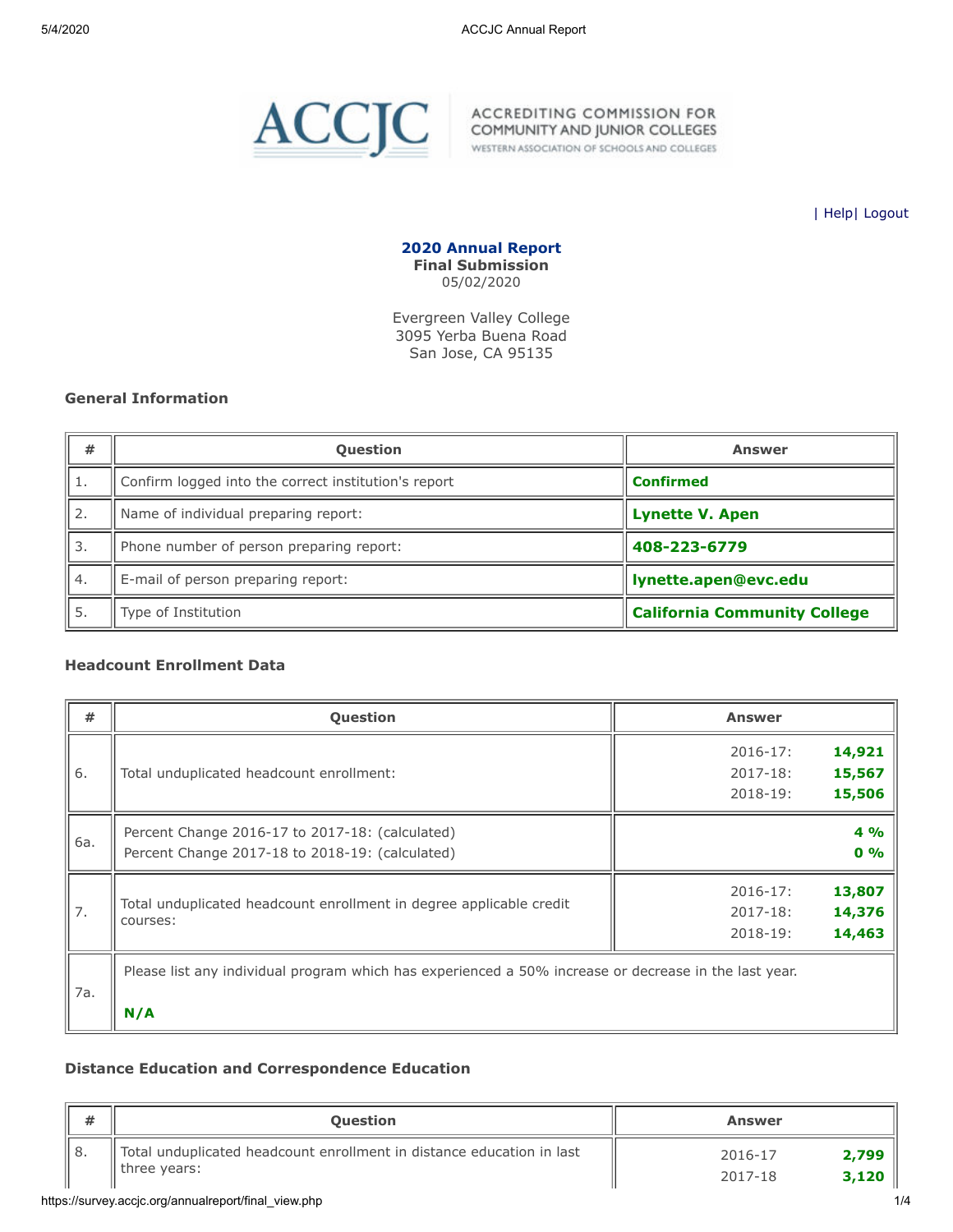<span id="page-2-0"></span>

WESTERN ASSOCIATION OF SCHOOLS AND COLLEGES

| [Help](javascript:newPopup()| [Logout](https://survey.accjc.org/annualreport/logout.php)

**2020 Annual Report Final Submission** 05/02/2020

Evergreen Valley College 3095 Yerba Buena Road San Jose, CA 95135

#### **General Information**

| #  | <b>Question</b>                                      | <b>Answer</b>                       |  |
|----|------------------------------------------------------|-------------------------------------|--|
| 1. | Confirm logged into the correct institution's report | <b>Confirmed</b>                    |  |
| 2. | Name of individual preparing report:                 | <b>Lynette V. Apen</b>              |  |
| 3. | Phone number of person preparing report:             | 408-223-6779                        |  |
| 4. | E-mail of person preparing report:                   | lynette.apen@evc.edu                |  |
| 5. | Type of Institution                                  | <b>California Community College</b> |  |

#### **Headcount Enrollment Data**

| #   | <b>Question</b>                                                                                       | <b>Answer</b>           |  |  |  |  |
|-----|-------------------------------------------------------------------------------------------------------|-------------------------|--|--|--|--|
|     |                                                                                                       | 14,921<br>$2016 - 17$ : |  |  |  |  |
| 6.  | Total unduplicated headcount enrollment:                                                              | 15,567<br>$2017 - 18:$  |  |  |  |  |
|     |                                                                                                       | 15,506<br>2018-19:      |  |  |  |  |
|     | Percent Change 2016-17 to 2017-18: (calculated)                                                       | 4%                      |  |  |  |  |
| 6a. | Percent Change 2017-18 to 2018-19: (calculated)                                                       | 0%                      |  |  |  |  |
|     |                                                                                                       | 13,807<br>$2016 - 17:$  |  |  |  |  |
| 7.  | Total unduplicated headcount enrollment in degree applicable credit<br>courses:                       | 14,376<br>$2017 - 18:$  |  |  |  |  |
|     |                                                                                                       | 14,463<br>$2018 - 19:$  |  |  |  |  |
| 7a. | Please list any individual program which has experienced a 50% increase or decrease in the last year. |                         |  |  |  |  |
|     | N/A                                                                                                   |                         |  |  |  |  |

#### **Distance Education and Correspondence Education**

| #  | <b>Question</b>                                                                          | <b>Answer</b>                        |
|----|------------------------------------------------------------------------------------------|--------------------------------------|
| 8. | Total unduplicated headcount enrollment in distance education in last<br>If three years: | 2,799<br>2016-17<br>3,120<br>2017-18 |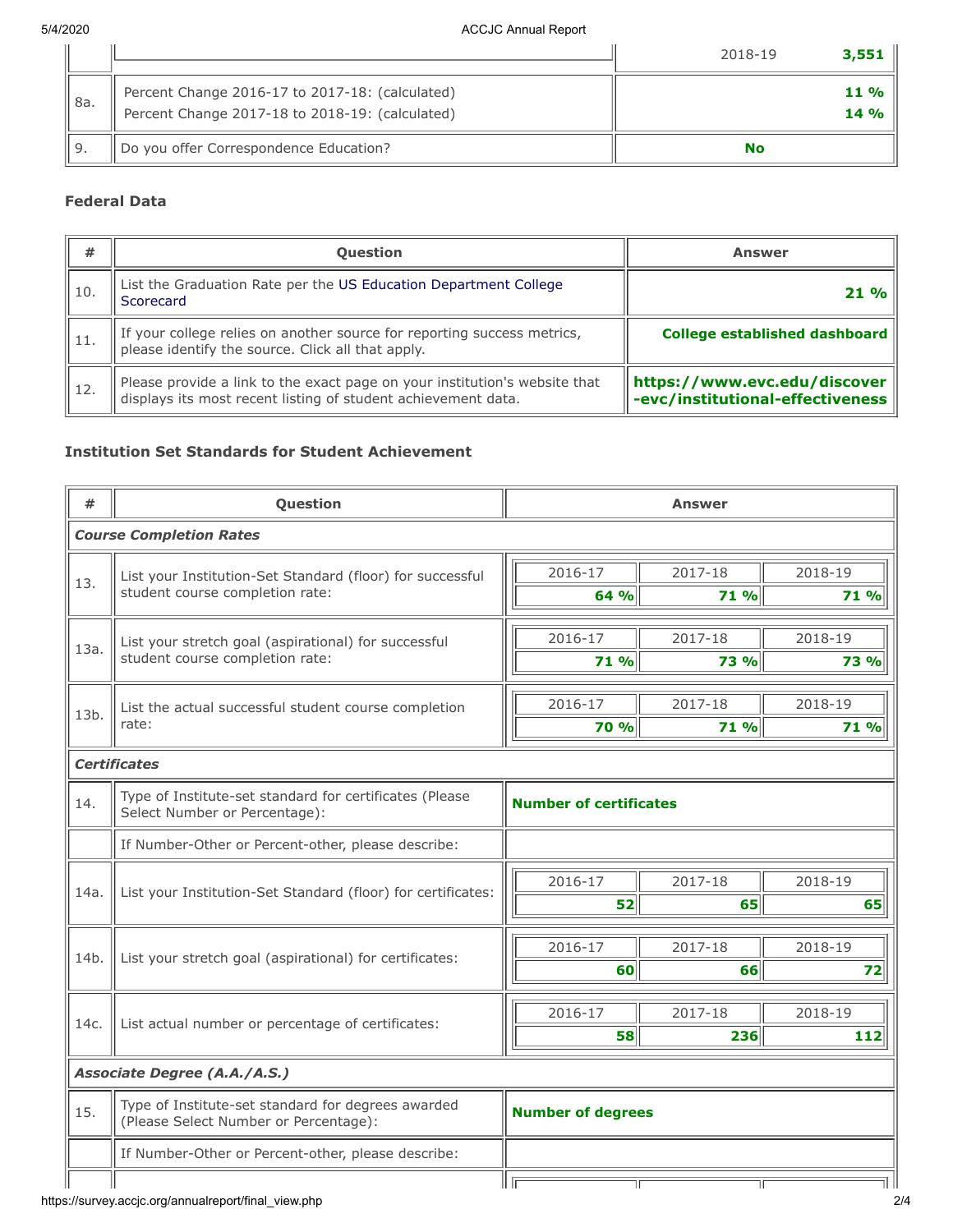|        |                                                                                                    | 2018-19<br>3,551  |
|--------|----------------------------------------------------------------------------------------------------|-------------------|
| '' 8a. | Percent Change 2016-17 to 2017-18: (calculated)<br>Percent Change 2017-18 to 2018-19: (calculated) | $11\%$<br>$14 \%$ |
|        | Do you offer Correspondence Education?                                                             | No                |

## **Federal Data**

| #    | <b>Question</b>                                                                                                                             | <b>Answer</b>                    |
|------|---------------------------------------------------------------------------------------------------------------------------------------------|----------------------------------|
| 10.  | List the Graduation Rate per the US Education Department College<br>Scorecard                                                               | $21\%$                           |
| -11. | If your college relies on another source for reporting success metrics,<br>please identify the source. Click all that apply.                | College established dashboard    |
| 12.  | Please provide a link to the exact page on your institution's website that<br>displays its most recent listing of student achievement data. | -evc/institutional-effectiveness |

## **Institution Set Standards for Student Achievement**

| #    | Question                                                                                    | <b>Answer</b>                 |         |             |  |  |  |
|------|---------------------------------------------------------------------------------------------|-------------------------------|---------|-------------|--|--|--|
|      | <b>Course Completion Rates</b>                                                              |                               |         |             |  |  |  |
| 13.  | List your Institution-Set Standard (floor) for successful                                   | 2016-17                       | 2017-18 | 2018-19     |  |  |  |
|      | student course completion rate:                                                             | 64 %                          | 71 %    | 71 %        |  |  |  |
|      | List your stretch goal (aspirational) for successful                                        | 2016-17                       | 2017-18 | 2018-19     |  |  |  |
| 13a. | student course completion rate:                                                             | 71 %                          | 73 %    | <b>73 %</b> |  |  |  |
|      | List the actual successful student course completion                                        | 2016-17                       | 2017-18 | 2018-19     |  |  |  |
| 13b. | rate:                                                                                       | 70 %                          | 71 %    | 71 %        |  |  |  |
|      | <b>Certificates</b>                                                                         |                               |         |             |  |  |  |
| 14.  | Type of Institute-set standard for certificates (Please<br>Select Number or Percentage):    | <b>Number of certificates</b> |         |             |  |  |  |
|      | If Number-Other or Percent-other, please describe:                                          |                               |         |             |  |  |  |
|      |                                                                                             | 2016-17                       | 2017-18 | 2018-19     |  |  |  |
| 14a. | List your Institution-Set Standard (floor) for certificates:                                | 52                            | 65      | 65          |  |  |  |
|      |                                                                                             | 2016-17                       | 2017-18 | 2018-19     |  |  |  |
| 14b. | List your stretch goal (aspirational) for certificates:                                     | 60                            | 66      | 72          |  |  |  |
|      |                                                                                             | 2016-17                       | 2017-18 | 2018-19     |  |  |  |
| 14c. | List actual number or percentage of certificates:                                           | 58                            | 236     | 112         |  |  |  |
|      | Associate Degree (A.A./A.S.)                                                                |                               |         |             |  |  |  |
| 15.  | Type of Institute-set standard for degrees awarded<br>(Please Select Number or Percentage): | <b>Number of degrees</b>      |         |             |  |  |  |
|      | If Number-Other or Percent-other, please describe:                                          |                               |         |             |  |  |  |
|      |                                                                                             | TГ                            | TГ      |             |  |  |  |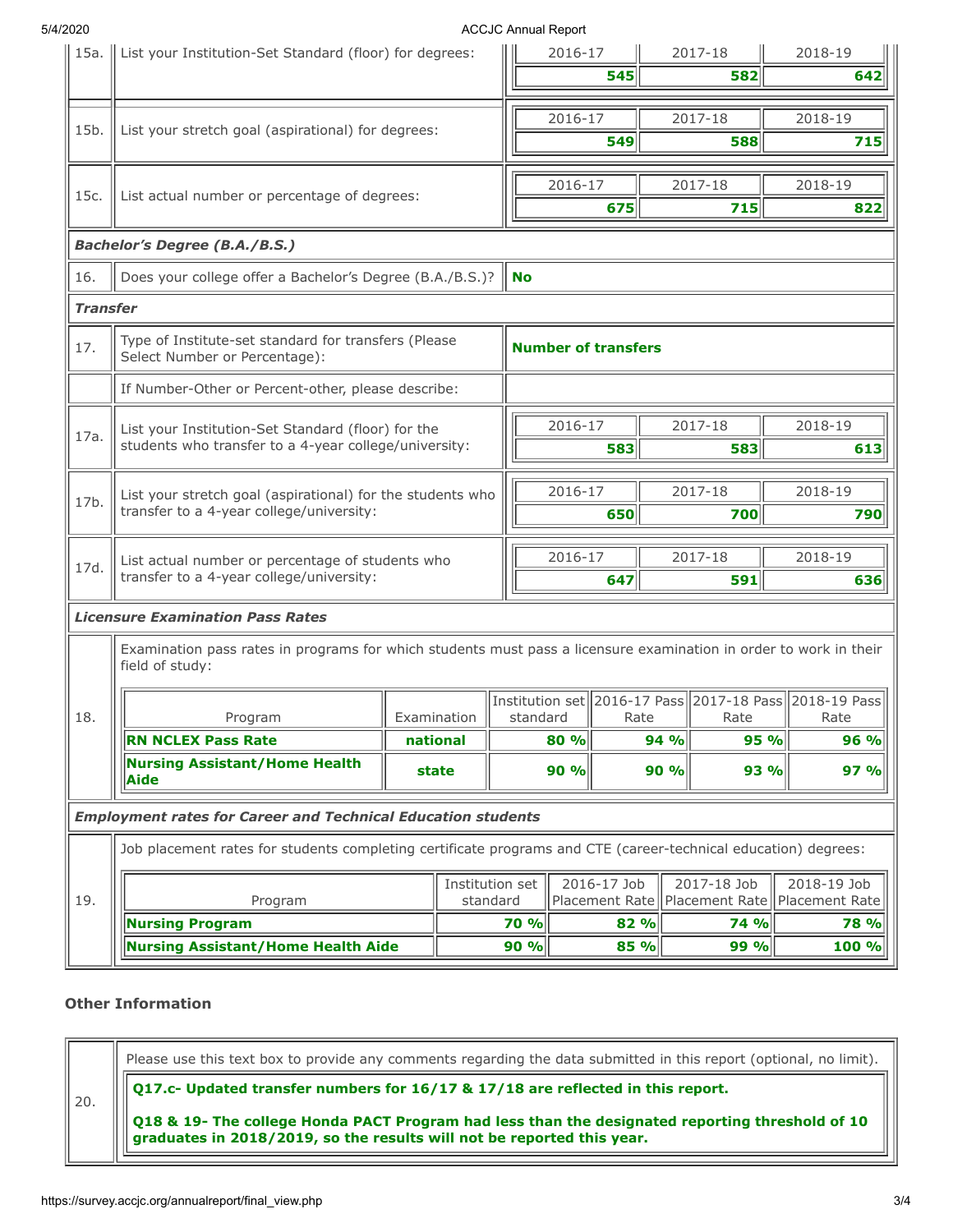#### 5/4/2020 ACCJC Annual Report

| 15a.            | List your Institution-Set Standard (floor) for degrees:                                                                              |  |                             | AUUUU AIIIIU INGUU   | 2016-17                                                      |                               |                      | 2017-18                       | 2018-19                       |             |  |
|-----------------|--------------------------------------------------------------------------------------------------------------------------------------|--|-----------------------------|----------------------|--------------------------------------------------------------|-------------------------------|----------------------|-------------------------------|-------------------------------|-------------|--|
|                 |                                                                                                                                      |  |                             |                      |                                                              | 545                           |                      | 582                           |                               | 642         |  |
| 15b.            | List your stretch goal (aspirational) for degrees:                                                                                   |  |                             |                      | 2016-17                                                      |                               |                      | 2017-18                       | 2018-19                       |             |  |
|                 |                                                                                                                                      |  |                             |                      |                                                              | 549                           |                      | 588                           |                               | 715         |  |
| 15c.            | List actual number or percentage of degrees:                                                                                         |  |                             |                      | 2016-17                                                      |                               |                      | 2017-18                       | 2018-19                       |             |  |
|                 |                                                                                                                                      |  |                             |                      |                                                              | 675                           |                      | 715                           |                               | 822         |  |
|                 | <b>Bachelor's Degree (B.A./B.S.)</b>                                                                                                 |  |                             |                      |                                                              |                               |                      |                               |                               |             |  |
| 16.             | Does your college offer a Bachelor's Degree (B.A./B.S.)?                                                                             |  |                             | <b>No</b>            |                                                              |                               |                      |                               |                               |             |  |
| <b>Transfer</b> |                                                                                                                                      |  |                             |                      |                                                              |                               |                      |                               |                               |             |  |
| 17.             | Type of Institute-set standard for transfers (Please<br>Select Number or Percentage):                                                |  |                             |                      |                                                              | <b>Number of transfers</b>    |                      |                               |                               |             |  |
|                 | If Number-Other or Percent-other, please describe:                                                                                   |  |                             |                      |                                                              |                               |                      |                               |                               |             |  |
|                 | List your Institution-Set Standard (floor) for the                                                                                   |  |                             |                      | 2016-17                                                      |                               |                      | 2017-18                       | 2018-19                       |             |  |
| 17a.            | students who transfer to a 4-year college/university:                                                                                |  |                             |                      | 583                                                          |                               | 583                  |                               | 613                           |             |  |
|                 | List your stretch goal (aspirational) for the students who                                                                           |  |                             |                      | 2016-17                                                      |                               |                      | 2017-18<br>2018-19            |                               |             |  |
| 17b.            | transfer to a 4-year college/university:                                                                                             |  |                             |                      | 650                                                          |                               | 700                  |                               | 790                           |             |  |
| 17d.            | List actual number or percentage of students who                                                                                     |  |                             |                      | 2016-17                                                      |                               | 2017-18              |                               | 2018-19                       |             |  |
|                 | transfer to a 4-year college/university:                                                                                             |  |                             |                      | 647<br>591                                                   |                               |                      | 636                           |                               |             |  |
|                 | <b>Licensure Examination Pass Rates</b>                                                                                              |  |                             |                      |                                                              |                               |                      |                               |                               |             |  |
|                 | Examination pass rates in programs for which students must pass a licensure examination in order to work in their<br>field of study: |  |                             |                      |                                                              |                               |                      |                               |                               |             |  |
|                 |                                                                                                                                      |  |                             |                      | Institution set   2016-17 Pass   2017-18 Pass   2018-19 Pass |                               |                      |                               |                               |             |  |
| 18.             | Program<br><b>RN NCLEX Pass Rate</b>                                                                                                 |  | Examination<br>national     | standard             | Rate<br>80 %                                                 |                               | Rate<br>95 %<br>94 % |                               | Rate                          | 96 %        |  |
|                 | <b>Nursing Assistant/Home Health</b><br>Aide                                                                                         |  | state                       | 90 %<br>90 %<br>93 % |                                                              |                               |                      | 97 %                          |                               |             |  |
|                 | <b>Employment rates for Career and Technical Education students</b>                                                                  |  |                             |                      |                                                              |                               |                      |                               |                               |             |  |
|                 | Job placement rates for students completing certificate programs and CTE (career-technical education) degrees:                       |  |                             |                      |                                                              |                               |                      |                               |                               |             |  |
| 19.             | Program                                                                                                                              |  | Institution set<br>standard |                      |                                                              | 2016-17 Job<br>Placement Rate |                      | 2017-18 Job<br>Placement Rate | 2018-19 Job<br>Placement Rate |             |  |
|                 | <b>Nursing Program</b>                                                                                                               |  |                             | 70 %                 |                                                              | 82 %                          |                      | <b>74 %</b>                   |                               | <b>78 %</b> |  |
|                 | <b>Nursing Assistant/Home Health Aide</b>                                                                                            |  |                             |                      |                                                              |                               |                      |                               |                               |             |  |

## **Other Information**

20.

Please use this text box to provide any comments regarding the data submitted in this report (optional, no limit).

**Q17.c- Updated transfer numbers for 16/17 & 17/18 are reflected in this report.**

**Q18 & 19- The college Honda PACT Program had less than the designated reporting threshold of 10 graduates in 2018/2019, so the results will not be reported this year.**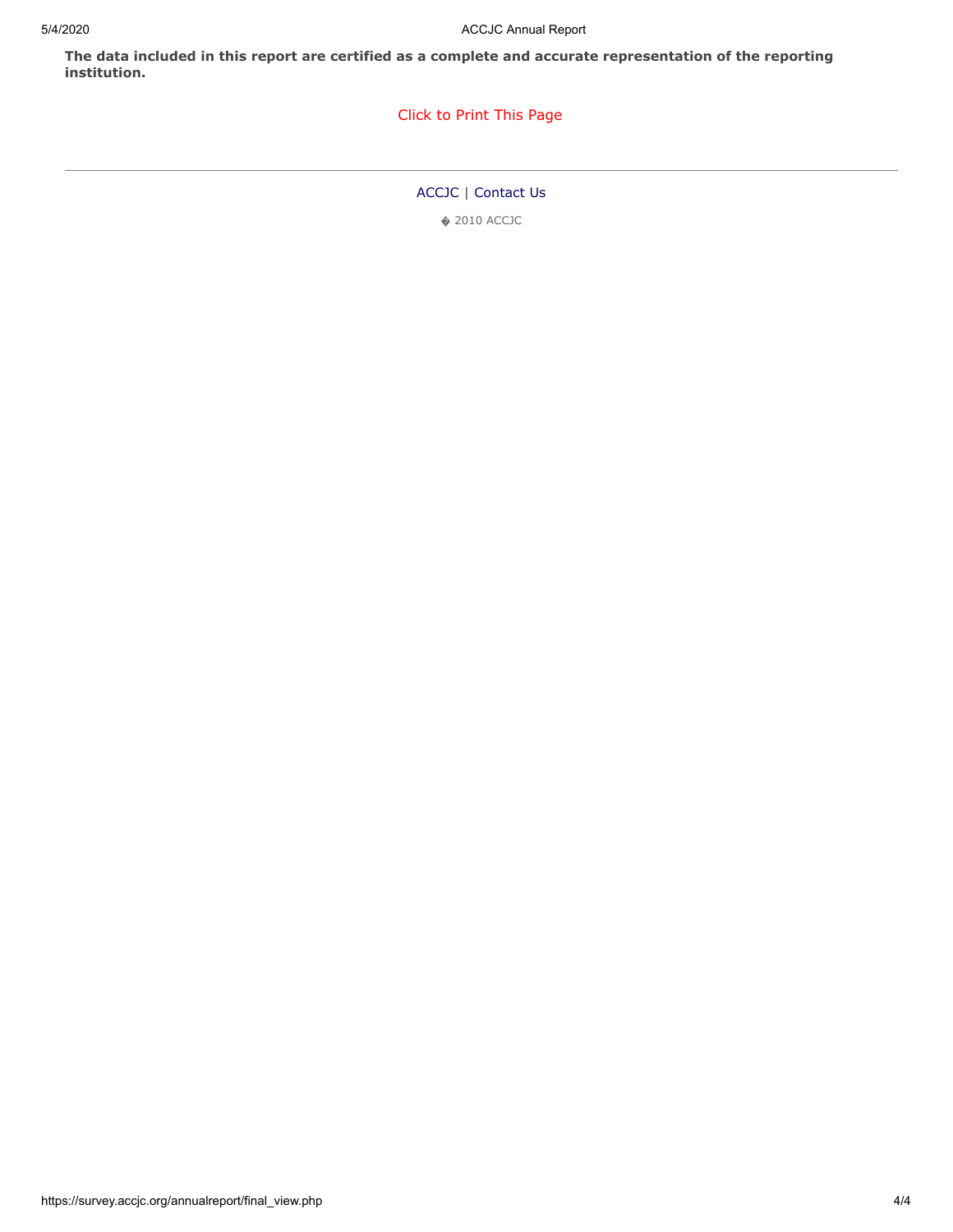**The data included in this report are certified as a complete and accurate representation of the reporting institution.**

### [Click to Print This Page](javascript:window.print())

[ACCJC](http://www.accjc.org/) | [Contact Us](https://survey.accjc.org/annualreport/contactus.php)

� 2010 ACCJC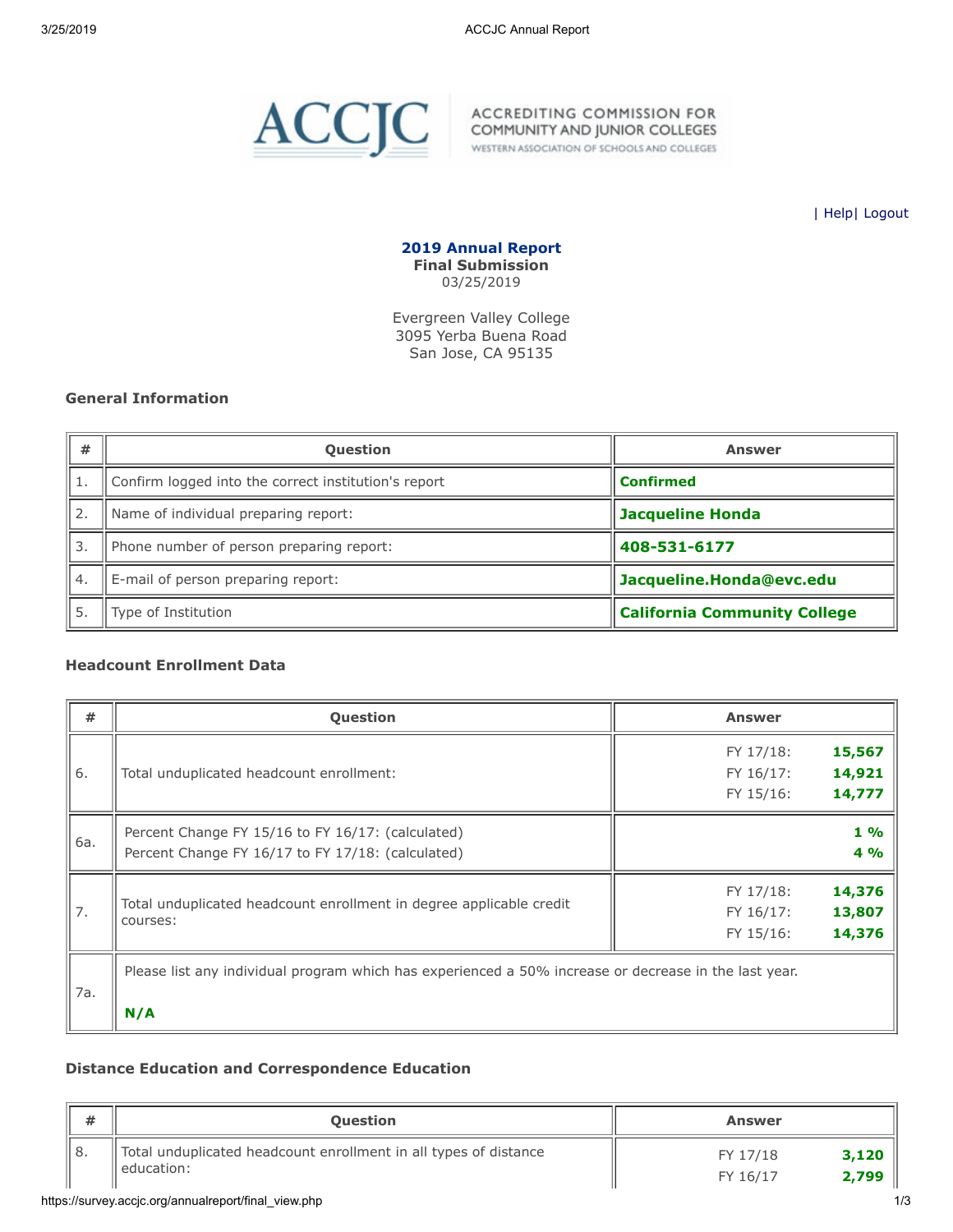<span id="page-6-0"></span>

WESTERN ASSOCIATION OF SCHOOLS AND COLLEGES

| [Help](javascript:newPopup()| [Logout](https://survey.accjc.org/annualreport/logout.php)

**2019 Annual Report Final Submission** 03/25/2019

Evergreen Valley College 3095 Yerba Buena Road San Jose, CA 95135

#### **General Information**

| #  | <b>Question</b>                                      | <b>Answer</b>                       |
|----|------------------------------------------------------|-------------------------------------|
|    | Confirm logged into the correct institution's report | <b>Confirmed</b>                    |
| 2. | Name of individual preparing report:                 | <b>Jacqueline Honda</b>             |
| 3. | Phone number of person preparing report:             | 408-531-6177                        |
| 4. | E-mail of person preparing report:                   | Jacqueline.Honda@evc.edu            |
| 5. | Type of Institution                                  | <b>California Community College</b> |

#### **Headcount Enrollment Data**

| $\#$ | <b>Question</b>                                                                                       | <b>Answer</b>       |  |  |  |  |  |  |
|------|-------------------------------------------------------------------------------------------------------|---------------------|--|--|--|--|--|--|
|      |                                                                                                       | 15,567<br>FY 17/18: |  |  |  |  |  |  |
| 6.   | Total unduplicated headcount enrollment:                                                              | 14,921<br>FY 16/17: |  |  |  |  |  |  |
|      |                                                                                                       | 14,777<br>FY 15/16: |  |  |  |  |  |  |
|      | Percent Change FY 15/16 to FY 16/17: (calculated)                                                     | $1\%$               |  |  |  |  |  |  |
| 6a.  | Percent Change FY 16/17 to FY 17/18: (calculated)                                                     | 4%                  |  |  |  |  |  |  |
|      |                                                                                                       | 14,376<br>FY 17/18: |  |  |  |  |  |  |
| 7.   | Total unduplicated headcount enrollment in degree applicable credit<br>courses:                       | 13,807<br>FY 16/17: |  |  |  |  |  |  |
|      |                                                                                                       | 14,376<br>FY 15/16: |  |  |  |  |  |  |
| 7a.  | Please list any individual program which has experienced a 50% increase or decrease in the last year. |                     |  |  |  |  |  |  |
|      | N/A                                                                                                   |                     |  |  |  |  |  |  |

#### **Distance Education and Correspondence Education**

| #     | <b>Question</b>                                                                   | <b>Answer</b>                          |
|-------|-----------------------------------------------------------------------------------|----------------------------------------|
| 'I 8. | Total unduplicated headcount enrollment in all types of distance<br>Il education: | 3,120<br>FY 17/18<br>2,799<br>FY 16/17 |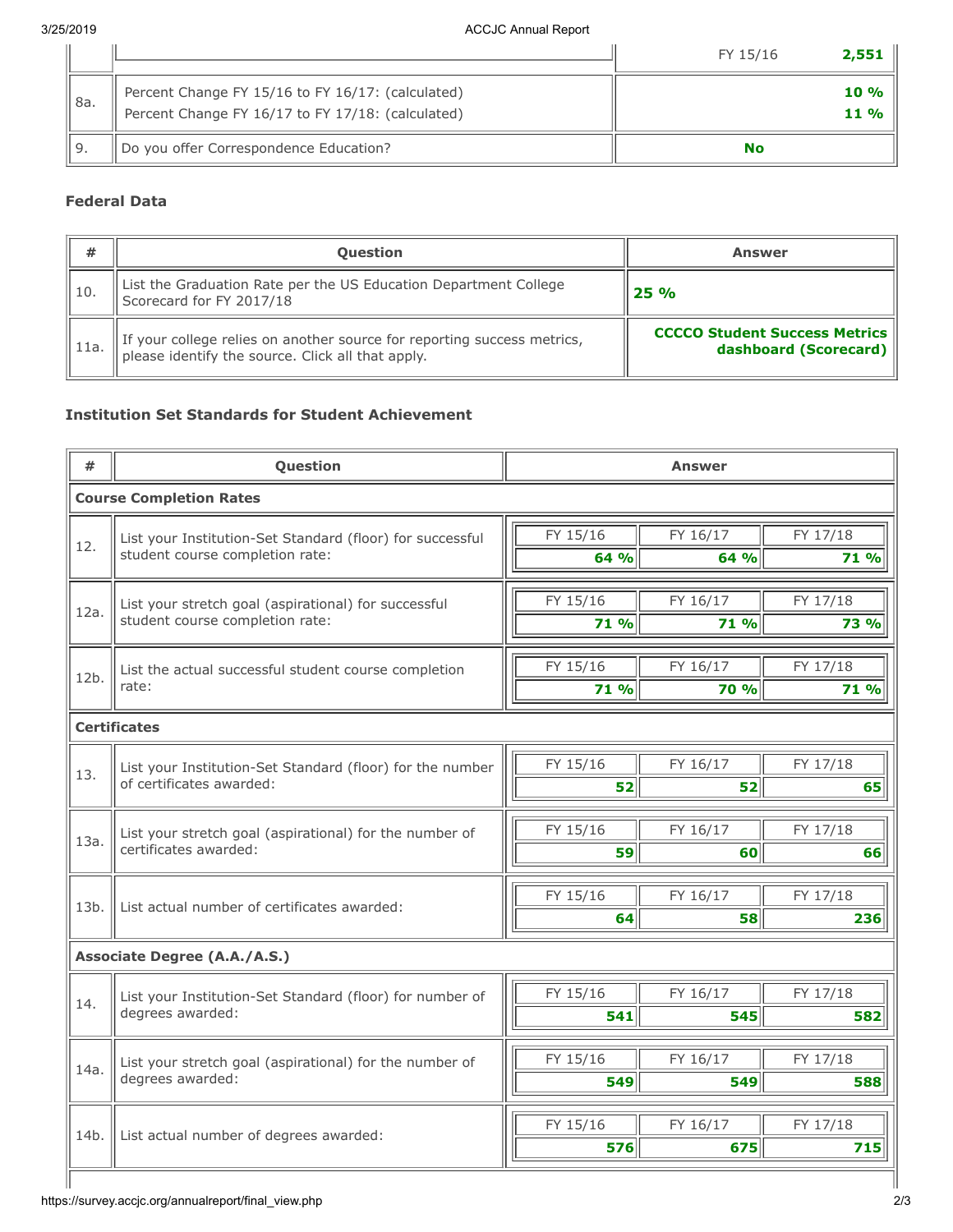|     |                                                                                                        | FY 15/16<br>2,551 |
|-----|--------------------------------------------------------------------------------------------------------|-------------------|
| 8a. | Percent Change FY 15/16 to FY 16/17: (calculated)<br>Percent Change FY 16/17 to FY 17/18: (calculated) | $10 \%$<br>$11\%$ |
|     | Do you offer Correspondence Education?                                                                 | No                |

## **Federal Data**

| #      | <b>Ouestion</b>                                                                                                              | <b>Answer</b>                                                 |
|--------|------------------------------------------------------------------------------------------------------------------------------|---------------------------------------------------------------|
| l 10.  | List the Graduation Rate per the US Education Department College<br>Scorecard for FY 2017/18                                 | 25%                                                           |
| l 11a. | If your college relies on another source for reporting success metrics,<br>please identify the source. Click all that apply. | <b>CCCCO Student Success Metrics</b><br>dashboard (Scorecard) |

## **Institution Set Standards for Student Achievement**

| #    | Question                                                  | <b>Answer</b>        |          |  |  |  |  |  |
|------|-----------------------------------------------------------|----------------------|----------|--|--|--|--|--|
|      | <b>Course Completion Rates</b>                            |                      |          |  |  |  |  |  |
| 12.  | List your Institution-Set Standard (floor) for successful | FY 15/16<br>FY 16/17 | FY 17/18 |  |  |  |  |  |
|      | student course completion rate:                           | 64 %<br>64 %         | 71 %     |  |  |  |  |  |
| 12a. | List your stretch goal (aspirational) for successful      | FY 15/16<br>FY 16/17 | FY 17/18 |  |  |  |  |  |
|      | student course completion rate:                           | 71%<br>71 %          | 73 %     |  |  |  |  |  |
| 12b. | List the actual successful student course completion      | FY 15/16<br>FY 16/17 | FY 17/18 |  |  |  |  |  |
|      | rate:                                                     | 71 %<br>70 %         | 71 %     |  |  |  |  |  |
|      | <b>Certificates</b>                                       |                      |          |  |  |  |  |  |
| 13.  | List your Institution-Set Standard (floor) for the number | FY 15/16<br>FY 16/17 | FY 17/18 |  |  |  |  |  |
|      | of certificates awarded:                                  | 52<br>52             | 65       |  |  |  |  |  |
| 13a. | List your stretch goal (aspirational) for the number of   | FY 16/17<br>FY 15/16 | FY 17/18 |  |  |  |  |  |
|      | certificates awarded:                                     | 59<br>60             | 66       |  |  |  |  |  |
| 13b. | List actual number of certificates awarded:               | FY 15/16<br>FY 16/17 | FY 17/18 |  |  |  |  |  |
|      |                                                           | 64<br>58             | 236      |  |  |  |  |  |
|      | <b>Associate Degree (A.A./A.S.)</b>                       |                      |          |  |  |  |  |  |
| 14.  | List your Institution-Set Standard (floor) for number of  | FY 15/16<br>FY 16/17 | FY 17/18 |  |  |  |  |  |
|      | degrees awarded:                                          | 541<br>545           | 582      |  |  |  |  |  |
| 14a. | List your stretch goal (aspirational) for the number of   | FY 15/16<br>FY 16/17 | FY 17/18 |  |  |  |  |  |
|      | degrees awarded:                                          | 549<br>549           | 588      |  |  |  |  |  |
| 14b. | List actual number of degrees awarded:                    | FY 15/16<br>FY 16/17 | FY 17/18 |  |  |  |  |  |
|      |                                                           | 576<br>675           | 715      |  |  |  |  |  |
|      |                                                           |                      |          |  |  |  |  |  |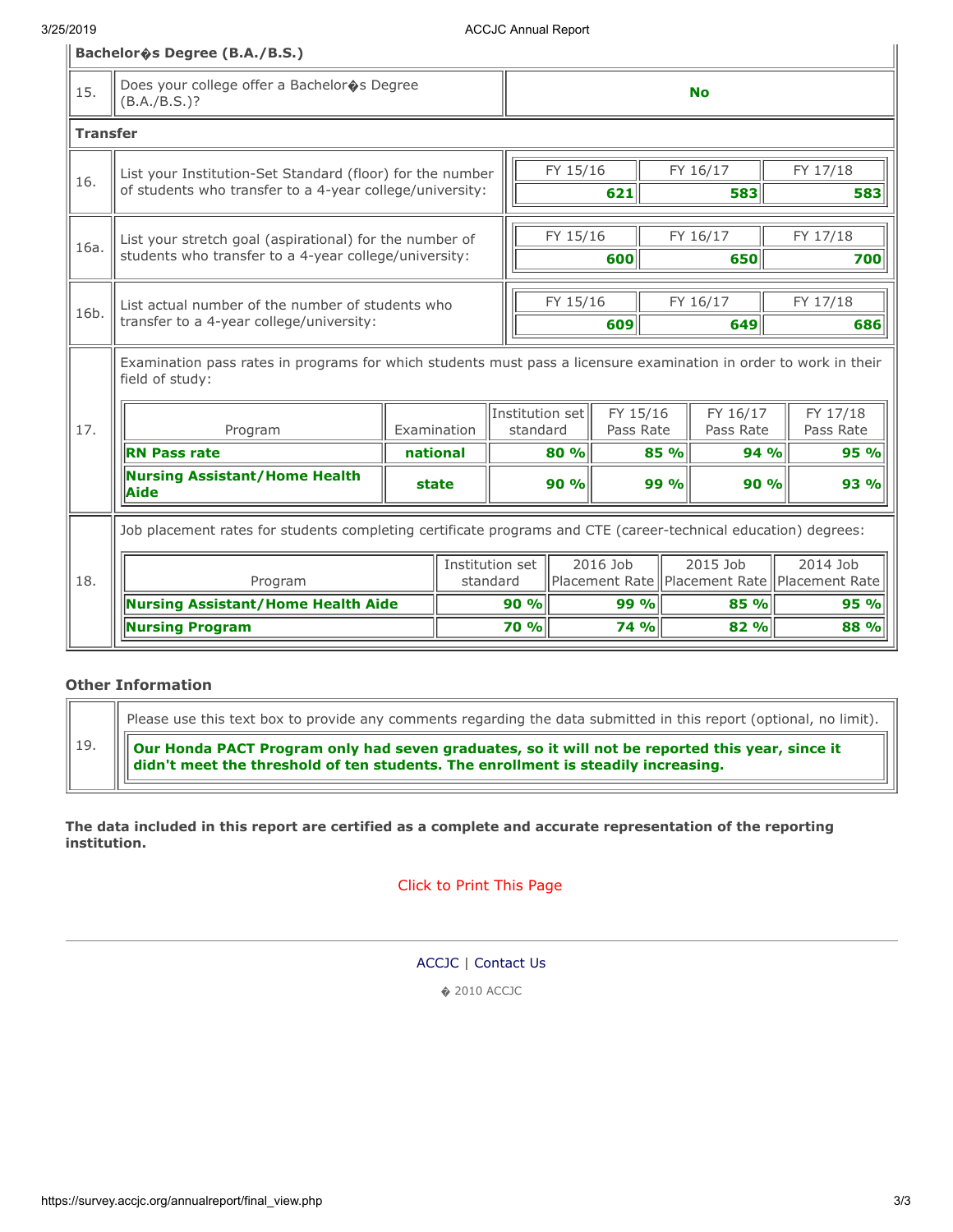#### 3/25/2019 ACCJC Annual Report

|                 | Bachelor & Degree (B.A./B.S.)                                                                                                        |             |          |                                    |                 |                                                      |                                                              |                       |                 |                       |
|-----------------|--------------------------------------------------------------------------------------------------------------------------------------|-------------|----------|------------------------------------|-----------------|------------------------------------------------------|--------------------------------------------------------------|-----------------------|-----------------|-----------------------|
| 15.             | Does your college offer a Bachelor�s Degree<br>$(B.A./B.S.)$ ?                                                                       |             |          |                                    | <b>No</b>       |                                                      |                                                              |                       |                 |                       |
| <b>Transfer</b> |                                                                                                                                      |             |          |                                    |                 |                                                      |                                                              |                       |                 |                       |
| 16.             | List your Institution-Set Standard (floor) for the number<br>of students who transfer to a 4-year college/university:                |             |          | FY 15/16<br>FY 16/17<br>621<br>583 |                 |                                                      |                                                              | FY 17/18<br>583       |                 |                       |
| 16a.            | List your stretch goal (aspirational) for the number of<br>students who transfer to a 4-year college/university:                     |             |          | FY 15/16<br>FY 16/17<br>650<br>600 |                 |                                                      |                                                              | FY 17/18<br>700       |                 |                       |
| 16b.            | List actual number of the number of students who<br>transfer to a 4-year college/university:                                         |             |          |                                    | FY 15/16<br>609 |                                                      | FY 16/17<br>649                                              |                       | FY 17/18<br>686 |                       |
|                 | Examination pass rates in programs for which students must pass a licensure examination in order to work in their<br>field of study: |             |          |                                    |                 |                                                      |                                                              |                       |                 |                       |
| 17.             | Program                                                                                                                              | Examination |          |                                    |                 | Institution set<br>FY 15/16<br>standard<br>Pass Rate |                                                              | FY 16/17<br>Pass Rate |                 | FY 17/18<br>Pass Rate |
|                 | <b>RN Pass rate</b>                                                                                                                  |             | national |                                    | 80 %            | 85 %                                                 |                                                              | 94 %                  |                 | 95 %                  |
|                 | <b>Nursing Assistant/Home Health</b><br>Aide                                                                                         | state       |          |                                    | 90%             |                                                      | 99 %                                                         | 90%                   |                 | 93 %                  |
|                 | Job placement rates for students completing certificate programs and CTE (career-technical education) degrees:                       |             |          |                                    |                 |                                                      |                                                              |                       |                 |                       |
| 18.             | Program                                                                                                                              |             |          | Institution set<br>standard        | 2016 Job        |                                                      | 2015 Job<br>Placement Rate   Placement Rate   Placement Rate |                       | 2014 Job        |                       |
|                 | <b>Nursing Assistant/Home Health Aide</b>                                                                                            |             |          | 90%                                |                 | 99 %                                                 |                                                              | 85 %                  |                 | 95 %                  |
|                 | <b>Nursing Program</b>                                                                                                               |             |          | 70 %                               |                 | <b>74 %</b>                                          |                                                              | 82 %                  |                 | 88 %                  |

#### **Other Information**  $\overline{\Gamma}$  $\overline{\phantom{a}}$

|  | Please use this text box to provide any comments regarding the data submitted in this report (optional, no limit).                                                                        |
|--|-------------------------------------------------------------------------------------------------------------------------------------------------------------------------------------------|
|  | Our Honda PACT Program only had seven graduates, so it will not be reported this year, since it<br>     didn't meet the threshold of ten students. The enrollment is steadily increasing. |

**The data included in this report are certified as a complete and accurate representation of the reporting institution.**

[Click to Print This Page](javascript:window.print())

[ACCJC](http://www.accjc.org/) | [Contact Us](https://survey.accjc.org/annualreport/contactus.php)

� 2010 ACCJC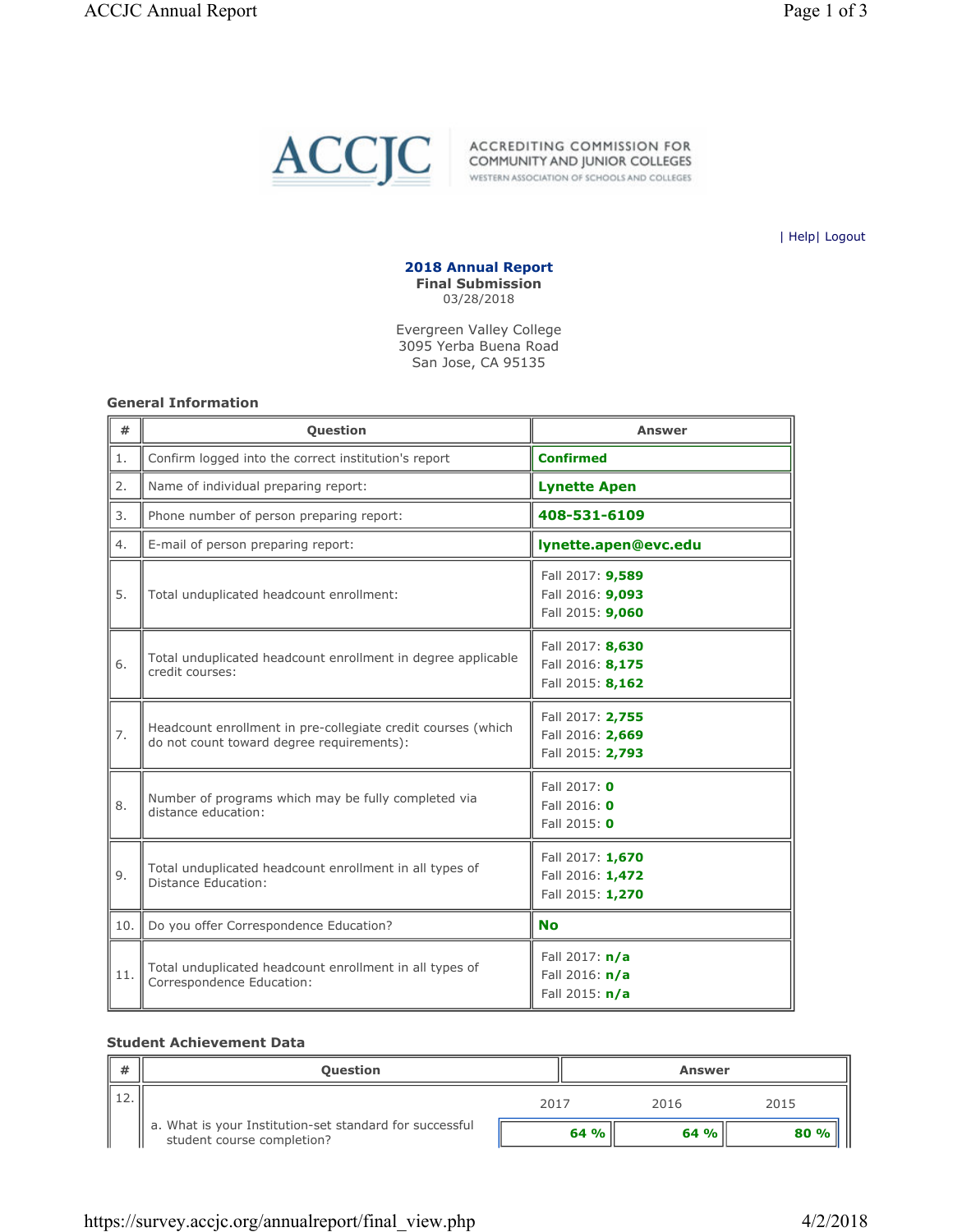<span id="page-9-0"></span>

ACCREDITING COMMISSION FOR<br>COMMUNITY AND JUNIOR COLLEGES WESTERN ASSOCIATION OF SCHOOLS AND COLLEGES

| Help| Logout



Evergreen Valley College 3095 Yerba Buena Road San Jose, CA 95135

#### General Information

| #   | Question                                                                                                  | Answer                                                   |
|-----|-----------------------------------------------------------------------------------------------------------|----------------------------------------------------------|
| 1.  | Confirm logged into the correct institution's report                                                      | <b>Confirmed</b>                                         |
| 2.  | Name of individual preparing report:                                                                      | <b>Lynette Apen</b>                                      |
| 3.  | Phone number of person preparing report:                                                                  | 408-531-6109                                             |
| 4.  | E-mail of person preparing report:                                                                        | lynette.apen@evc.edu                                     |
| 5.  | Total unduplicated headcount enrollment:                                                                  | Fall 2017: 9,589<br>Fall 2016: 9,093<br>Fall 2015: 9,060 |
| 6.  | Total unduplicated headcount enrollment in degree applicable<br>credit courses:                           | Fall 2017: 8,630<br>Fall 2016: 8,175<br>Fall 2015: 8,162 |
| 7.  | Headcount enrollment in pre-collegiate credit courses (which<br>do not count toward degree requirements): | Fall 2017: 2,755<br>Fall 2016: 2,669<br>Fall 2015: 2,793 |
| 8.  | Number of programs which may be fully completed via<br>distance education:                                | Fall 2017: 0<br>Fall 2016: 0<br>Fall 2015: 0             |
| 9.  | Total unduplicated headcount enrollment in all types of<br>Distance Education:                            | Fall 2017: 1,670<br>Fall 2016: 1,472<br>Fall 2015: 1,270 |
| 10. | Do you offer Correspondence Education?                                                                    | <b>No</b>                                                |
| 11. | Total unduplicated headcount enrollment in all types of<br>Correspondence Education:                      | Fall 2017: $n/a$<br>Fall 2016: n/a<br>Fall 2015: $n/a$   |

#### Student Achievement Data

| # | <b>Question</b>                                                                       |      | Answer |      |
|---|---------------------------------------------------------------------------------------|------|--------|------|
|   |                                                                                       | 2017 | 2016   | 2015 |
|   | a. What is your Institution-set standard for successful<br>student course completion? | 64%  | 64%    | 80%  |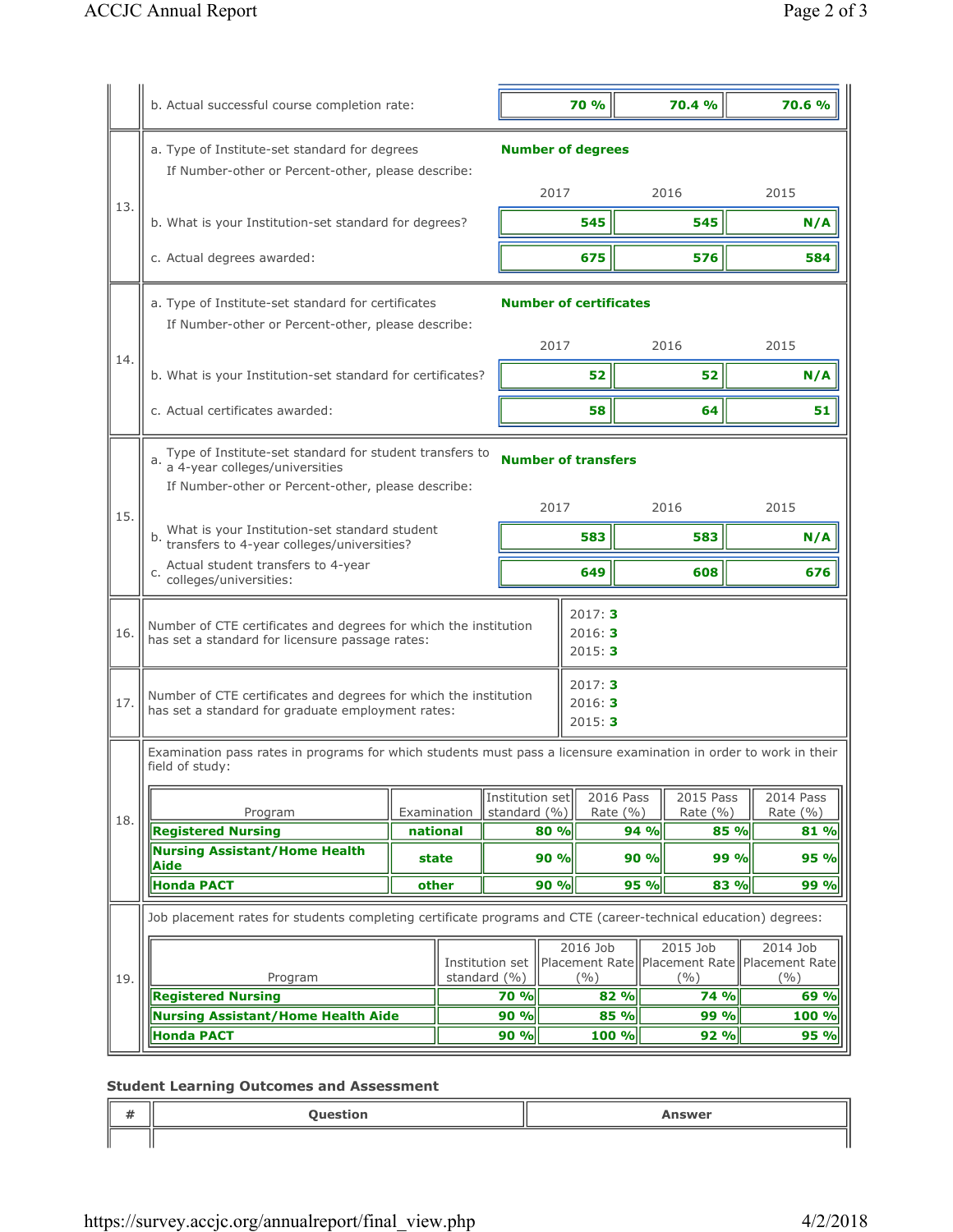|     | b. Actual successful course completion rate:                                                                                                          |             |  |                                     |             | <b>70 %</b>                   |      | 70.4 %                                                                | 70.6 %                    |
|-----|-------------------------------------------------------------------------------------------------------------------------------------------------------|-------------|--|-------------------------------------|-------------|-------------------------------|------|-----------------------------------------------------------------------|---------------------------|
|     | a. Type of Institute-set standard for degrees                                                                                                         |             |  |                                     |             | <b>Number of degrees</b>      |      |                                                                       |                           |
| 13. | If Number-other or Percent-other, please describe:                                                                                                    |             |  |                                     | 2017        |                               |      | 2016                                                                  | 2015                      |
|     | b. What is your Institution-set standard for degrees?                                                                                                 |             |  |                                     |             | 545                           |      | 545                                                                   | N/A                       |
|     | c. Actual degrees awarded:                                                                                                                            |             |  |                                     |             | 675                           |      | 576                                                                   | 584                       |
|     | a. Type of Institute-set standard for certificates<br>If Number-other or Percent-other, please describe:                                              |             |  |                                     |             | <b>Number of certificates</b> |      |                                                                       |                           |
| 14. |                                                                                                                                                       |             |  |                                     | 2017        |                               |      | 2016                                                                  | 2015                      |
|     | b. What is your Institution-set standard for certificates?                                                                                            |             |  |                                     |             | 52                            |      | 52                                                                    | N/A                       |
|     | c. Actual certificates awarded:                                                                                                                       |             |  |                                     |             | 58                            |      | 64                                                                    | 51                        |
|     | Type of Institute-set standard for student transfers to<br>a.<br>a 4-year colleges/universities<br>If Number-other or Percent-other, please describe: |             |  |                                     |             | <b>Number of transfers</b>    |      |                                                                       |                           |
| 15. | What is your Institution-set standard student<br>transfers to 4-year colleges/universities?<br>b.                                                     |             |  |                                     | 2017<br>583 |                               |      | 2016<br>583                                                           | 2015<br>N/A               |
|     | Actual student transfers to 4-year<br>C.<br>colleges/universities:                                                                                    |             |  |                                     |             | 649                           |      | 608                                                                   | 676                       |
| 16. | Number of CTE certificates and degrees for which the institution<br>has set a standard for licensure passage rates:                                   |             |  |                                     |             | 2017:3<br>2016:3<br>2015:3    |      |                                                                       |                           |
| 17. | Number of CTE certificates and degrees for which the institution<br>has set a standard for graduate employment rates:                                 |             |  |                                     |             | 2017:3<br>2016: 3<br>2015:3   |      |                                                                       |                           |
|     | Examination pass rates in programs for which students must pass a licensure examination in order to work in their<br>field of study:                  |             |  |                                     |             |                               |      |                                                                       |                           |
|     | Program                                                                                                                                               | Examination |  | Institution set<br>standard (%)     |             | 2016 Pass<br>Rate $(% )$      |      | 2015 Pass<br>Rate $(% )$                                              | 2014 Pass<br>Rate $(\% )$ |
| 18. | <b>Registered Nursing</b>                                                                                                                             | national    |  |                                     | 80 %        |                               | 94 % | 85 %                                                                  | 81 %                      |
|     | <b>Nursing Assistant/Home Health</b><br>Aide                                                                                                          | state       |  |                                     | 90 %        |                               | 90 % | 99 %                                                                  | 95 %                      |
|     | <b>Honda PACT</b>                                                                                                                                     | other       |  |                                     | 90 %        |                               | 95 % | 83 %                                                                  | 99 %                      |
|     | Job placement rates for students completing certificate programs and CTE (career-technical education) degrees:                                        |             |  |                                     |             |                               |      |                                                                       |                           |
| 19. | Program                                                                                                                                               |             |  | Institution set<br>standard $(\% )$ |             | 2016 Job<br>$($ %)            |      | 2015 Job<br>Placement Rate   Placement Rate   Placement Rate<br>(9/6) | 2014 Job<br>(9/0)         |
|     | <b>Registered Nursing</b>                                                                                                                             |             |  | 70 %                                |             | 82 %                          |      | 74 %                                                                  | 69 %                      |
|     | <b>Nursing Assistant/Home Health Aide</b><br><b>Honda PACT</b>                                                                                        |             |  | 90 %<br>90 %                        |             | 85 %<br>100 %                 |      | 99 %<br>92 %                                                          | 100 %<br>95 %             |
|     |                                                                                                                                                       |             |  |                                     |             |                               |      |                                                                       |                           |

## Student Learning Outcomes and Assessment

| $\cdots$<br>77 | <b>Question</b><br>------- | <b>Answer</b> |
|----------------|----------------------------|---------------|
|                |                            |               |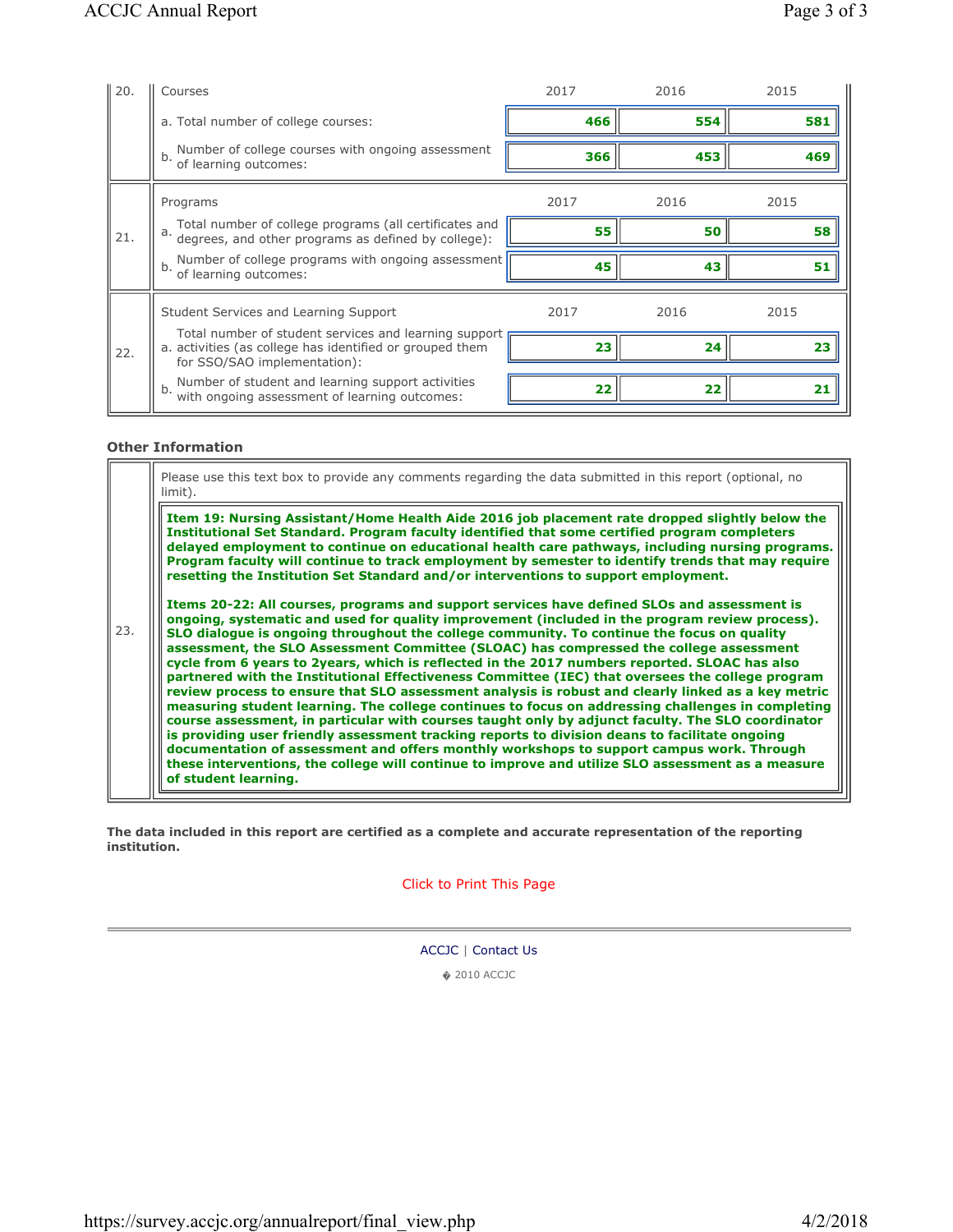| 20. | Courses                                                                                                                                           | 2017 | 2016 | 2015 |
|-----|---------------------------------------------------------------------------------------------------------------------------------------------------|------|------|------|
|     | a. Total number of college courses:                                                                                                               | 466  | 554  | 581  |
|     | Number of college courses with ongoing assessment<br>b.<br>of learning outcomes:                                                                  | 366  | 453  | 469  |
|     | Programs                                                                                                                                          | 2017 | 2016 | 2015 |
| 21. | Total number of college programs (all certificates and<br>a. degrees, and other programs as defined by college):                                  | 55   | 50   | 58   |
|     | Number of college programs with ongoing assessment<br>b.<br>of learning outcomes:                                                                 | 45   | 43   | 51   |
|     |                                                                                                                                                   |      |      |      |
|     | Student Services and Learning Support                                                                                                             | 2017 | 2016 | 2015 |
| 22. | Total number of student services and learning support<br>a. activities (as college has identified or grouped them<br>for SSO/SAO implementation): | 23   | 24   | 23   |

#### Other Information

23. Please use this text box to provide any comments regarding the data submitted in this report (optional, no limit). Item 19: Nursing Assistant/Home Health Aide 2016 job placement rate dropped slightly below the Institutional Set Standard. Program faculty identified that some certified program completers delayed employment to continue on educational health care pathways, including nursing programs. Program faculty will continue to track employment by semester to identify trends that may require resetting the Institution Set Standard and/or interventions to support employment. Items 20-22: All courses, programs and support services have defined SLOs and assessment is ongoing, systematic and used for quality improvement (included in the program review process). SLO dialogue is ongoing throughout the college community. To continue the focus on quality assessment, the SLO Assessment Committee (SLOAC) has compressed the college assessment cycle from 6 years to 2years, which is reflected in the 2017 numbers reported. SLOAC has also partnered with the Institutional Effectiveness Committee (IEC) that oversees the college program review process to ensure that SLO assessment analysis is robust and clearly linked as a key metric measuring student learning. The college continues to focus on addressing challenges in completing course assessment, in particular with courses taught only by adjunct faculty. The SLO coordinator is providing user friendly assessment tracking reports to division deans to facilitate ongoing documentation of assessment and offers monthly workshops to support campus work. Through these interventions, the college will continue to improve and utilize SLO assessment as a measure of student learning.

The data included in this report are certified as a complete and accurate representation of the reporting institution.

Click to Print This Page

ACCJC | Contact Us

� 2010 ACCJC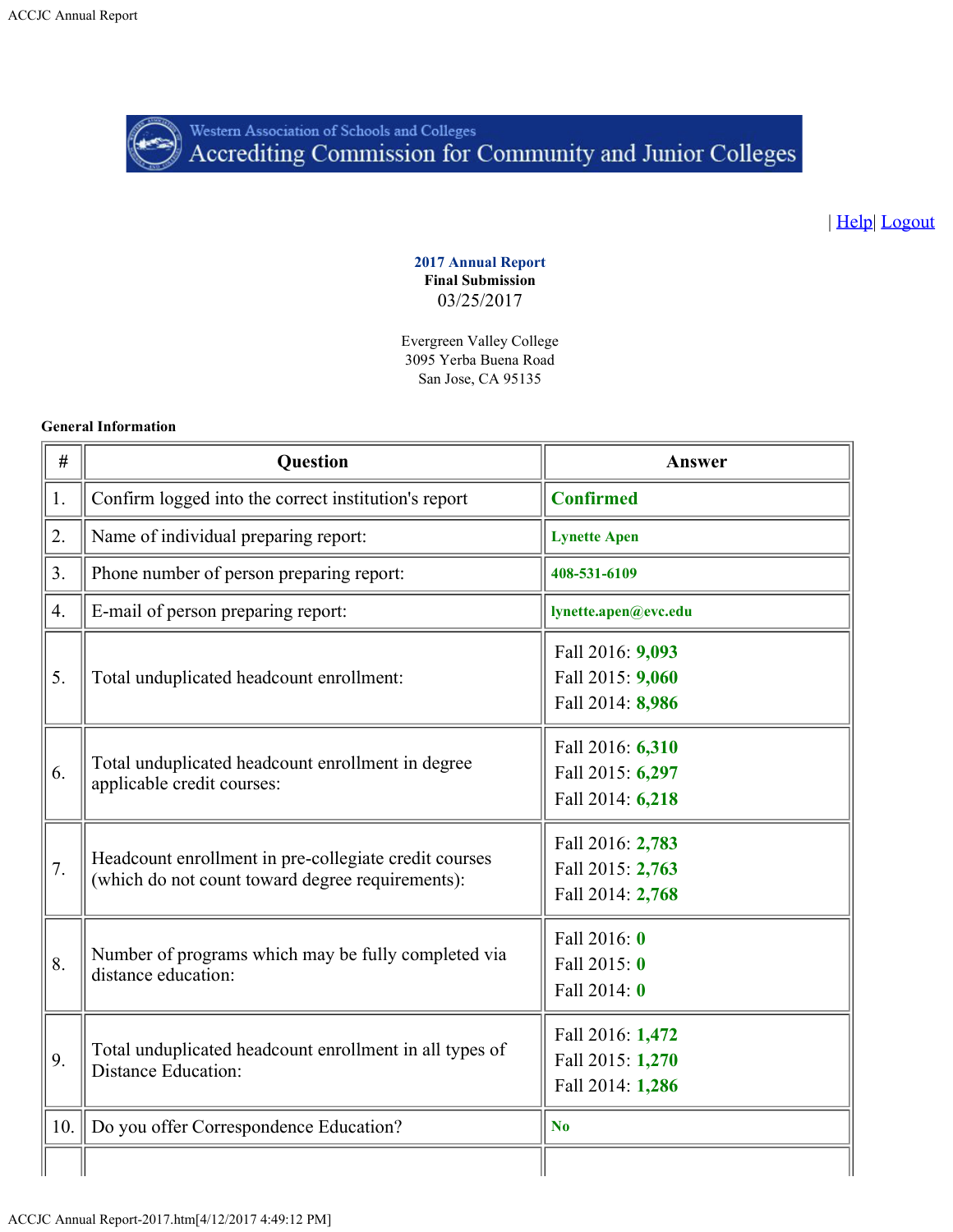<span id="page-12-0"></span>

Western Association of Schools and Colleges<br>Accrediting Commission for Community and Junior Colleges

| Help| Logout

2017 Annual Report Final Submission 03/25/2017

Evergreen Valley College 3095 Yerba Buena Road San Jose, CA 95135

#### General Information

| $^{\#}$          | <b>Question</b>                                                                                           | Answer                                                   |
|------------------|-----------------------------------------------------------------------------------------------------------|----------------------------------------------------------|
| 1.               | Confirm logged into the correct institution's report                                                      | <b>Confirmed</b>                                         |
| 2.               | Name of individual preparing report:                                                                      | <b>Lynette Apen</b>                                      |
| 3.               | Phone number of person preparing report:                                                                  | 408-531-6109                                             |
| $\overline{4}$ . | E-mail of person preparing report:                                                                        | lynette.apen@evc.edu                                     |
| 5.               | Total unduplicated headcount enrollment:                                                                  | Fall 2016: 9,093<br>Fall 2015: 9,060<br>Fall 2014: 8,986 |
| 6.               | Total unduplicated headcount enrollment in degree<br>applicable credit courses:                           | Fall 2016: 6,310<br>Fall 2015: 6,297<br>Fall 2014: 6,218 |
| 7.               | Headcount enrollment in pre-collegiate credit courses<br>(which do not count toward degree requirements): | Fall 2016: 2,783<br>Fall 2015: 2,763<br>Fall 2014: 2,768 |
| 8.               | Number of programs which may be fully completed via<br>distance education:                                | Fall 2016: 0<br>Fall 2015: 0<br>Fall 2014: 0             |
| 9.               | Total unduplicated headcount enrollment in all types of<br><b>Distance Education:</b>                     | Fall 2016: 1,472<br>Fall 2015: 1,270<br>Fall 2014: 1,286 |
| 10.              | Do you offer Correspondence Education?                                                                    | N <sub>o</sub>                                           |
|                  |                                                                                                           |                                                          |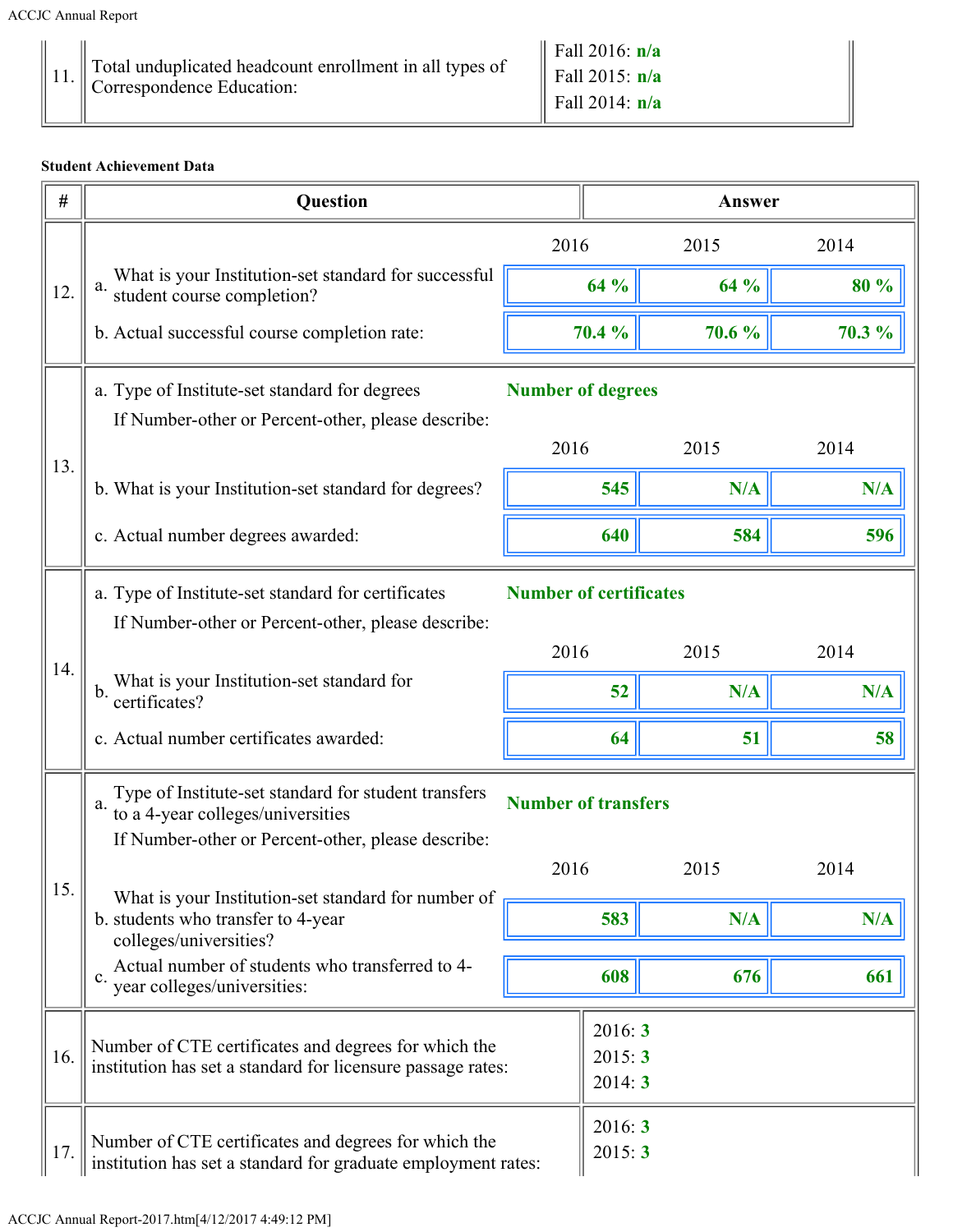| Total unduplicated headcount enrollment in all types of<br>Correspondence Education: | $\vert$ Fall 2016: $n/a$<br>Fall 2015: $n/a$<br>Fall 2014: $n/a$ |
|--------------------------------------------------------------------------------------|------------------------------------------------------------------|
|--------------------------------------------------------------------------------------|------------------------------------------------------------------|

## Student Achievement Data

| #   | <b>Question</b>                                                                                                            |                               |                            | Answer |        |  |
|-----|----------------------------------------------------------------------------------------------------------------------------|-------------------------------|----------------------------|--------|--------|--|
|     |                                                                                                                            | 2016                          |                            | 2015   | 2014   |  |
| 12. | What is your Institution-set standard for successful<br>student course completion?<br>a.                                   |                               | 64 %                       | 64 %   | 80 %   |  |
|     | b. Actual successful course completion rate:                                                                               |                               | 70.4 %                     | 70.6 % | 70.3 % |  |
|     | a. Type of Institute-set standard for degrees<br>If Number-other or Percent-other, please describe:                        | <b>Number of degrees</b>      |                            |        |        |  |
|     |                                                                                                                            | 2016                          |                            | 2015   | 2014   |  |
| 13. | b. What is your Institution-set standard for degrees?                                                                      |                               | 545                        | N/A    | N/A    |  |
|     | c. Actual number degrees awarded:                                                                                          |                               | 640                        | 584    | 596    |  |
|     | a. Type of Institute-set standard for certificates<br>If Number-other or Percent-other, please describe:                   | <b>Number of certificates</b> |                            |        |        |  |
|     |                                                                                                                            | 2016                          |                            | 2015   | 2014   |  |
| 14. | What is your Institution-set standard for<br>b.<br>certificates?                                                           |                               | 52                         | N/A    | N/A    |  |
|     | c. Actual number certificates awarded:                                                                                     |                               | 64                         | 51     | 58     |  |
|     | Type of Institute-set standard for student transfers<br>a.<br>to a 4-year colleges/universities                            | <b>Number of transfers</b>    |                            |        |        |  |
|     | If Number-other or Percent-other, please describe:                                                                         | 2016                          |                            | 2015   | 2014   |  |
| 15. | What is your Institution-set standard for number of<br>b. students who transfer to 4-year                                  |                               | 583                        | N/A    | N/A    |  |
|     | colleges/universities?<br>Actual number of students who transferred to 4-<br>$\mathbf{c}$ .<br>year colleges/universities: |                               | 608                        | 676    | 661    |  |
| 16. | Number of CTE certificates and degrees for which the<br>institution has set a standard for licensure passage rates:        |                               | 2016:3<br>2015:3<br>2014:3 |        |        |  |
| 17. | Number of CTE certificates and degrees for which the<br>institution has set a standard for graduate employment rates:      |                               | 2016:3<br>2015:3           |        |        |  |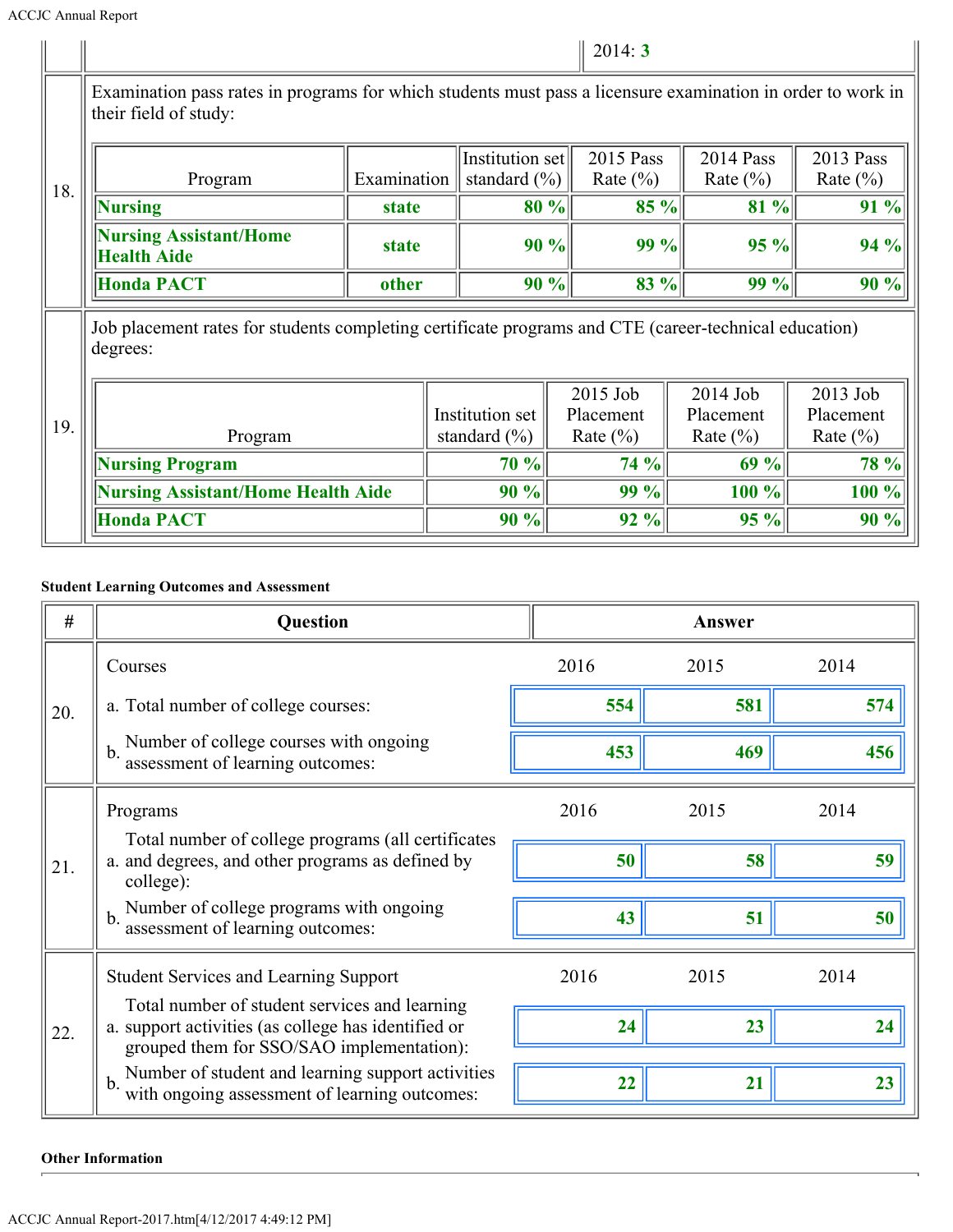|     |                                                                                                                                      |              |                                     | 2014:3                    |                           |                           |  |
|-----|--------------------------------------------------------------------------------------------------------------------------------------|--------------|-------------------------------------|---------------------------|---------------------------|---------------------------|--|
| 18. | Examination pass rates in programs for which students must pass a licensure examination in order to work in<br>their field of study: |              |                                     |                           |                           |                           |  |
|     | Program                                                                                                                              | Examination  | Institution set<br>standard $(\% )$ |                           | 2014 Pass<br>Rate $(\% )$ | 2013 Pass<br>Rate $(\% )$ |  |
|     | <b>Nursing</b>                                                                                                                       | <b>state</b> | 80%                                 | $85 \%$                   | 81%                       | 91 %                      |  |
|     | <b>Nursing Assistant/Home</b><br><b>Health Aide</b>                                                                                  | <b>state</b> | 90%                                 | 99%                       | 95 %                      | 94 %                      |  |
|     | <b>Honda PACT</b>                                                                                                                    | other        | 90%                                 | $83 \%$                   | 99%                       | 90 %                      |  |
|     | Job placement rates for students completing certificate programs and CTE (career-technical education)<br>degrees:                    |              |                                     |                           |                           |                           |  |
|     |                                                                                                                                      |              |                                     | $2015$ Job                | $2014$ Job                | $2013$ Job                |  |
| 19. | Program                                                                                                                              |              | Institution set<br>standard $(\% )$ | Placement<br>Rate $(\% )$ | Placement<br>Rate $(\% )$ | Placement<br>Rate $(\% )$ |  |
|     | <b>Nursing Program</b>                                                                                                               |              | 70%                                 | 74%                       | 69%                       | 78 %                      |  |
|     | <b>Nursing Assistant/Home Health Aide</b>                                                                                            |              | 90%                                 | 99%                       | $100 \%$                  | 100 %                     |  |
|     | <b>Honda PACT</b>                                                                                                                    |              | 90%                                 | $92\%$                    | 95%                       | 90 %                      |  |

# Student Learning Outcomes and Assessment

| #   | <b>Question</b>                                                                                                                                   |      | Answer |      |
|-----|---------------------------------------------------------------------------------------------------------------------------------------------------|------|--------|------|
|     | Courses                                                                                                                                           | 2016 | 2015   | 2014 |
| 20. | a. Total number of college courses:                                                                                                               | 554  | 581    | 574  |
|     | Number of college courses with ongoing<br>$\mathbf{b}$ .<br>assessment of learning outcomes:                                                      | 453  | 469    | 456  |
| 21. | Programs                                                                                                                                          | 2016 | 2015   | 2014 |
|     | Total number of college programs (all certificates<br>a. and degrees, and other programs as defined by<br>college):                               | 50   | 58     | 59   |
|     | Number of college programs with ongoing<br>$b$ .<br>assessment of learning outcomes:                                                              | 43   | 51     | 50   |
|     | <b>Student Services and Learning Support</b>                                                                                                      | 2016 | 2015   | 2014 |
| 22. | Total number of student services and learning<br>a. support activities (as college has identified or<br>grouped them for SSO/SAO implementation): | 24   | 23     | 24   |
|     | Number of student and learning support activities<br>$\mathbf{b}$ .<br>with ongoing assessment of learning outcomes:                              | 22   | 21     | 23   |

Other Information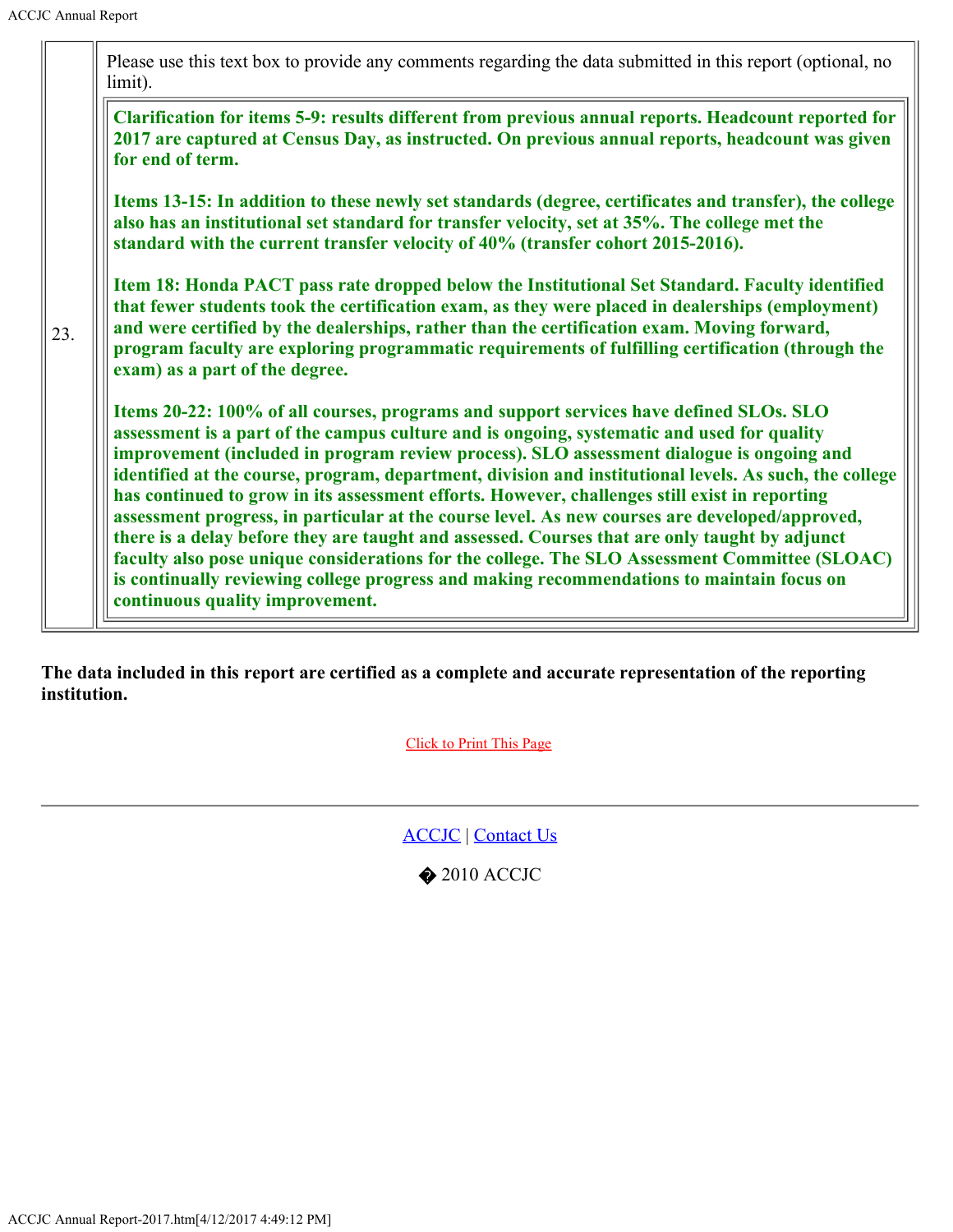|     | Please use this text box to provide any comments regarding the data submitted in this report (optional, no<br>limit).                                                                                                                                                                                                                                                                                                                                                                                                                                                                                                                                                                                                                                                                                                                                                                                                           |
|-----|---------------------------------------------------------------------------------------------------------------------------------------------------------------------------------------------------------------------------------------------------------------------------------------------------------------------------------------------------------------------------------------------------------------------------------------------------------------------------------------------------------------------------------------------------------------------------------------------------------------------------------------------------------------------------------------------------------------------------------------------------------------------------------------------------------------------------------------------------------------------------------------------------------------------------------|
| 23. | Clarification for items 5-9: results different from previous annual reports. Headcount reported for<br>2017 are captured at Census Day, as instructed. On previous annual reports, headcount was given<br>for end of term.                                                                                                                                                                                                                                                                                                                                                                                                                                                                                                                                                                                                                                                                                                      |
|     | Items 13-15: In addition to these newly set standards (degree, certificates and transfer), the college<br>also has an institutional set standard for transfer velocity, set at 35%. The college met the<br>standard with the current transfer velocity of 40% (transfer cohort 2015-2016).                                                                                                                                                                                                                                                                                                                                                                                                                                                                                                                                                                                                                                      |
|     | Item 18: Honda PACT pass rate dropped below the Institutional Set Standard. Faculty identified<br>that fewer students took the certification exam, as they were placed in dealerships (employment)<br>and were certified by the dealerships, rather than the certification exam. Moving forward,<br>program faculty are exploring programmatic requirements of fulfilling certification (through the<br>exam) as a part of the degree.                                                                                                                                                                                                                                                                                                                                                                                                                                                                                          |
|     | Items 20-22: 100% of all courses, programs and support services have defined SLOs. SLO<br>assessment is a part of the campus culture and is ongoing, systematic and used for quality<br>improvement (included in program review process). SLO assessment dialogue is ongoing and<br>identified at the course, program, department, division and institutional levels. As such, the college<br>has continued to grow in its assessment efforts. However, challenges still exist in reporting<br>assessment progress, in particular at the course level. As new courses are developed/approved,<br>there is a delay before they are taught and assessed. Courses that are only taught by adjunct<br>faculty also pose unique considerations for the college. The SLO Assessment Committee (SLOAC)<br>is continually reviewing college progress and making recommendations to maintain focus on<br>continuous quality improvement. |

The data included in this report are certified as a complete and accurate representation of the reporting institution.

Click to Print This Page

ACCJC | Contact Us

 $\bigcirc$  2010 ACCJC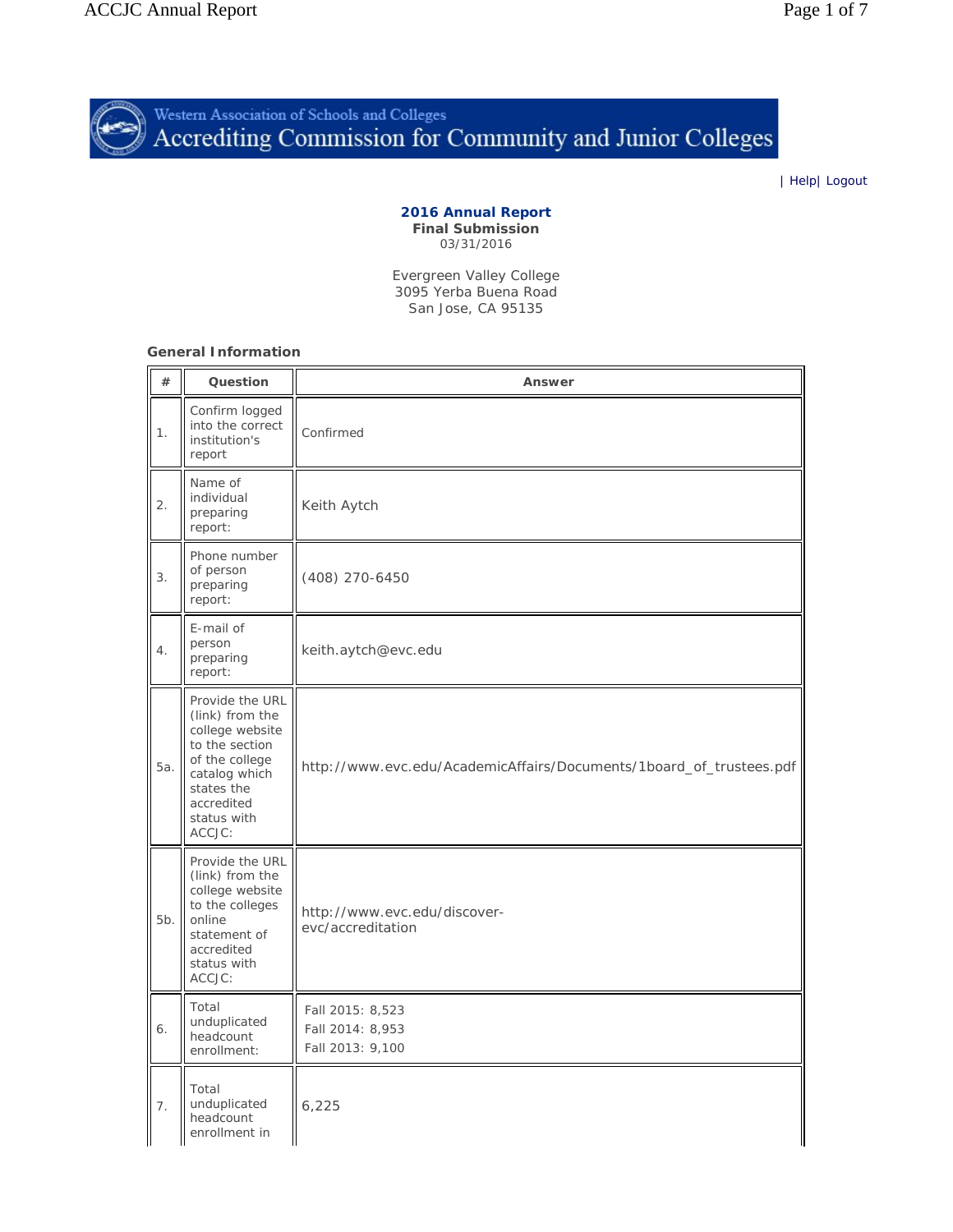<span id="page-16-0"></span>

| Help| Logout

#### **2016 Annual Report Final Submission** 03/31/2016

Evergreen Valley College 3095 Yerba Buena Road San Jose, CA 95135

**General Information**

| #   | Question                                                                                                                                                        | Answer                                                              |  |  |
|-----|-----------------------------------------------------------------------------------------------------------------------------------------------------------------|---------------------------------------------------------------------|--|--|
| 1.  | Confirm logged<br>into the correct<br>institution's<br>report                                                                                                   | Confirmed                                                           |  |  |
| 2.  | Name of<br>individual<br>preparing<br>report:                                                                                                                   | Keith Aytch                                                         |  |  |
| 3.  | Phone number<br>of person<br>preparing<br>report:                                                                                                               | (408) 270-6450                                                      |  |  |
| 4.  | E-mail of<br>person<br>preparing<br>report:                                                                                                                     | keith.aytch@evc.edu                                                 |  |  |
| 5а. | Provide the URL<br>(link) from the<br>college website<br>to the section<br>of the college<br>catalog which<br>states the<br>accredited<br>status with<br>ACCJC: | http://www.evc.edu/AcademicAffairs/Documents/1board_of_trustees.pdf |  |  |
| 5b. | Provide the URL<br>(link) from the<br>college website<br>to the colleges<br>online<br>statement of<br>accredited<br>status with<br>ACCJC:                       | http://www.evc.edu/discover-<br>evc/accreditation                   |  |  |
| 6.  | Total<br>unduplicated<br>headcount<br>enrollment:                                                                                                               | Fall 2015: 8,523<br>Fall 2014: 8,953<br>Fall 2013: 9,100            |  |  |
| 7.  | Total<br>unduplicated<br>headcount<br>enrollment in                                                                                                             | 6,225                                                               |  |  |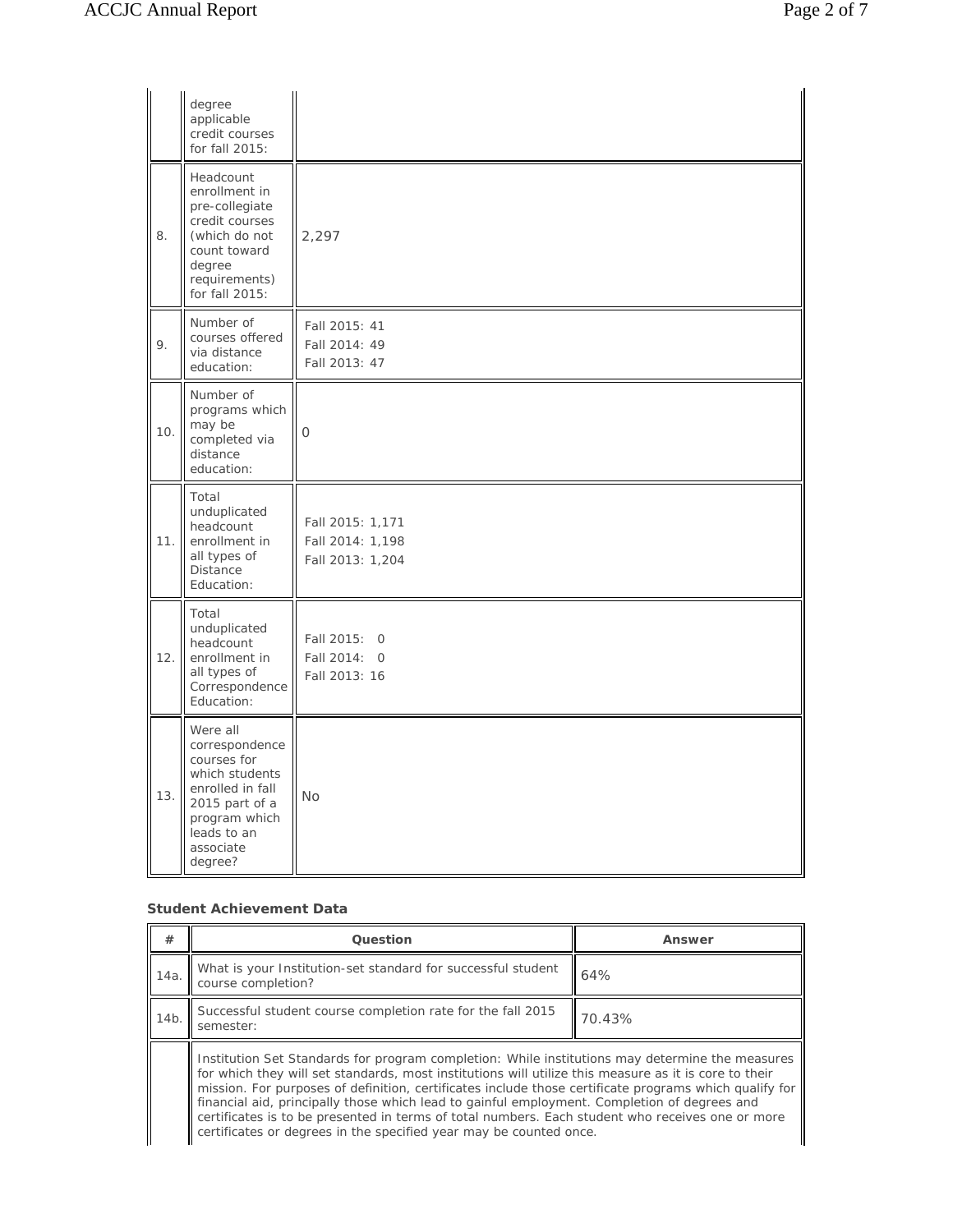|      | degree<br>applicable<br>credit courses<br>for fall 2015:                                                                                                  |                                                          |
|------|-----------------------------------------------------------------------------------------------------------------------------------------------------------|----------------------------------------------------------|
| 8.   | Headcount<br>enrollment in<br>pre-collegiate<br>credit courses<br>(which do not<br>count toward<br>degree<br>requirements)<br>for fall 2015:              | 2,297                                                    |
| 9.   | Number of<br>courses offered<br>via distance<br>education:                                                                                                | Fall 2015: 41<br>Fall 2014: 49<br>Fall 2013: 47          |
| 10.  | Number of<br>programs which<br>may be<br>completed via<br>distance<br>education:                                                                          | 0                                                        |
| 11.1 | Total<br>unduplicated<br>headcount<br>enrollment in<br>all types of<br><b>Distance</b><br>Education:                                                      | Fall 2015: 1,171<br>Fall 2014: 1,198<br>Fall 2013: 1,204 |
| 12.  | Total<br>unduplicated<br>headcount<br>enrollment in<br>all types of<br>Correspondence<br>Education:                                                       | Fall 2015: 0<br>Fall 2014: 0<br>Fall 2013: 16            |
| 13.  | Were all<br>correspondence<br>courses for<br>which students<br>enrolled in fall<br>2015 part of a<br>program which<br>leads to an<br>associate<br>degree? | No                                                       |

#### **Student Achievement Data**

| #    | Question                                                                                                                                                                                                                                                                                                                                                                                                                                                                                                                                                                                     | Answer |  |  |
|------|----------------------------------------------------------------------------------------------------------------------------------------------------------------------------------------------------------------------------------------------------------------------------------------------------------------------------------------------------------------------------------------------------------------------------------------------------------------------------------------------------------------------------------------------------------------------------------------------|--------|--|--|
| 14a. | What is your Institution-set standard for successful student<br>course completion?                                                                                                                                                                                                                                                                                                                                                                                                                                                                                                           | 64%    |  |  |
| 14b. | Successful student course completion rate for the fall 2015<br>70.43%<br>semester:                                                                                                                                                                                                                                                                                                                                                                                                                                                                                                           |        |  |  |
|      | Institution Set Standards for program completion: While institutions may determine the measures<br>for which they will set standards, most institutions will utilize this measure as it is core to their<br>mission. For purposes of definition, certificates include those certificate programs which qualify for<br>financial aid, principally those which lead to gainful employment. Completion of degrees and<br>certificates is to be presented in terms of total numbers. Each student who receives one or more<br>certificates or degrees in the specified year may be counted once. |        |  |  |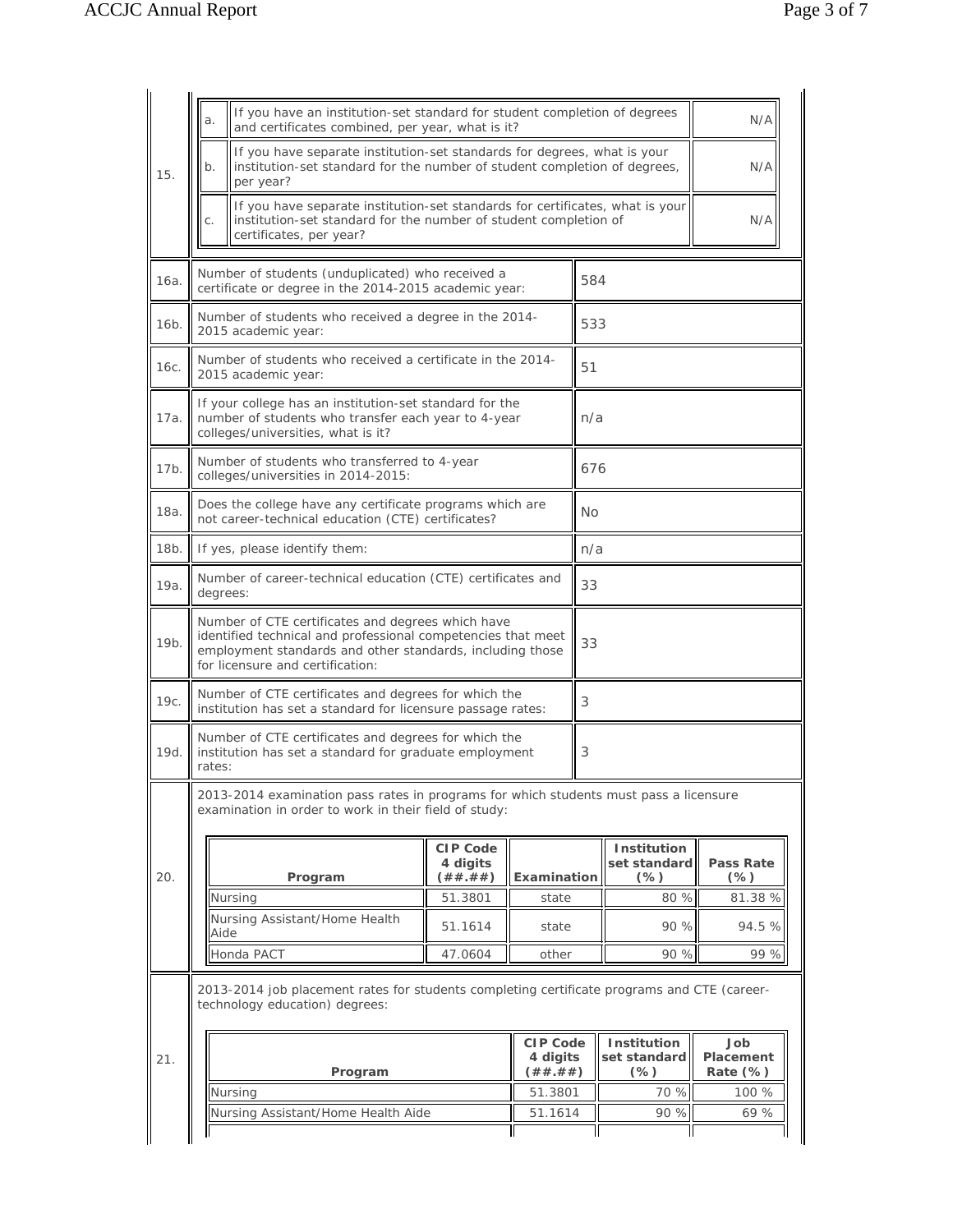|                   | а.                                                                                                                                                                                                                 | If you have an institution-set standard for student completion of degrees<br>and certificates combined, per year, what is it?                                                |                                   |                                   |                                       | N/A                          |
|-------------------|--------------------------------------------------------------------------------------------------------------------------------------------------------------------------------------------------------------------|------------------------------------------------------------------------------------------------------------------------------------------------------------------------------|-----------------------------------|-----------------------------------|---------------------------------------|------------------------------|
| 15.               | b.                                                                                                                                                                                                                 | If you have separate institution-set standards for degrees, what is your<br>institution-set standard for the number of student completion of degrees,<br>per year?           |                                   |                                   |                                       | N/A                          |
|                   | C.                                                                                                                                                                                                                 | If you have separate institution-set standards for certificates, what is your<br>institution-set standard for the number of student completion of<br>certificates, per year? |                                   |                                   |                                       | N/A                          |
| 16a.              |                                                                                                                                                                                                                    | Number of students (unduplicated) who received a<br>certificate or degree in the 2014-2015 academic year:                                                                    |                                   |                                   | 584                                   |                              |
| 16 <sub>b</sub> . |                                                                                                                                                                                                                    | Number of students who received a degree in the 2014-<br>2015 academic year:                                                                                                 |                                   |                                   | 533                                   |                              |
| 16с.              |                                                                                                                                                                                                                    | Number of students who received a certificate in the 2014-<br>2015 academic year:                                                                                            |                                   |                                   | 51                                    |                              |
| 17a.              |                                                                                                                                                                                                                    | If your college has an institution-set standard for the<br>number of students who transfer each year to 4-year<br>colleges/universities, what is it?                         |                                   |                                   | n/a                                   |                              |
| 17b.              |                                                                                                                                                                                                                    | Number of students who transferred to 4-year<br>colleges/universities in 2014-2015:                                                                                          |                                   |                                   | 676                                   |                              |
| 18a.              |                                                                                                                                                                                                                    | Does the college have any certificate programs which are<br>not career-technical education (CTE) certificates?                                                               |                                   |                                   | No                                    |                              |
| 18b.              |                                                                                                                                                                                                                    | If yes, please identify them:                                                                                                                                                |                                   |                                   | n/a                                   |                              |
| 19a.              | Number of career-technical education (CTE) certificates and<br>degrees:                                                                                                                                            |                                                                                                                                                                              |                                   |                                   | 33                                    |                              |
| 19b.              | Number of CTE certificates and degrees which have<br>identified technical and professional competencies that meet<br>employment standards and other standards, including those<br>for licensure and certification: |                                                                                                                                                                              |                                   | 33                                |                                       |                              |
| 19с.              | Number of CTE certificates and degrees for which the<br>institution has set a standard for licensure passage rates:                                                                                                |                                                                                                                                                                              |                                   | 3                                 |                                       |                              |
| 19d.              | Number of CTE certificates and degrees for which the<br>institution has set a standard for graduate employment<br>rates:                                                                                           |                                                                                                                                                                              |                                   | 3                                 |                                       |                              |
|                   |                                                                                                                                                                                                                    | 2013-2014 examination pass rates in programs for which students must pass a licensure<br>examination in order to work in their field of study:                               |                                   |                                   |                                       |                              |
| 20.               |                                                                                                                                                                                                                    | Program                                                                                                                                                                      | CIP Code<br>4 digits<br>( ## .##) | Examination                       | Institution<br>set standard<br>$(\%)$ | Pass Rate<br>$(\%)$          |
|                   |                                                                                                                                                                                                                    | Nursing<br>Nursing Assistant/Home Health                                                                                                                                     | 51.3801                           | state                             | 80 %                                  | 81.38 %                      |
|                   | Aide                                                                                                                                                                                                               | Honda PACT                                                                                                                                                                   | 51.1614<br>47.0604                | state<br>other                    | 90 %<br>90 %                          | 94.5 %<br>99 %               |
|                   |                                                                                                                                                                                                                    | 2013-2014 job placement rates for students completing certificate programs and CTE (career-<br>technology education) degrees:                                                |                                   |                                   |                                       |                              |
| 21.               |                                                                                                                                                                                                                    | Program                                                                                                                                                                      |                                   | CIP Code<br>4 digits<br>( ## .##) | Institution<br>set standard<br>$(\%)$ | dol<br>Placement<br>Rate (%) |
|                   |                                                                                                                                                                                                                    | Nursing                                                                                                                                                                      |                                   | 51.3801                           | 70 %                                  | 100 %                        |
|                   |                                                                                                                                                                                                                    | Nursing Assistant/Home Health Aide                                                                                                                                           |                                   |                                   | 90 %<br>51.1614                       | 69 %                         |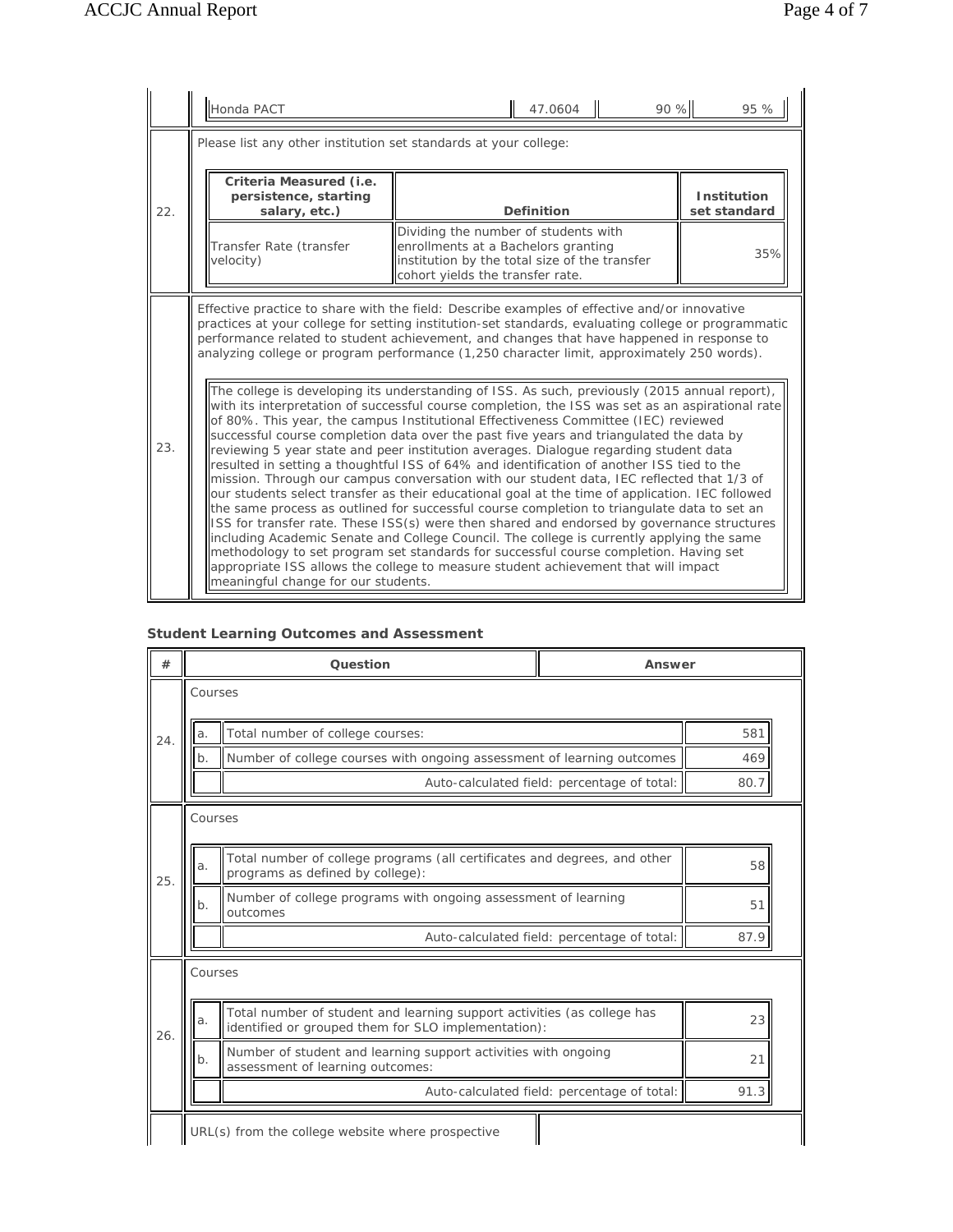|     | Honda PACT                                                                                                                                                                                                                                                                                                                                                                                                                                                                                                                                                                                                                                                                                                                                                                                                                                                                                                                                                                                                                                                                                                                                                                                                                                                                                                                                                                                                                                                                                                                                                                                                                                          | 90 %<br>47.0604                                                                                                                                                  | 95 %                        |  |  |
|-----|-----------------------------------------------------------------------------------------------------------------------------------------------------------------------------------------------------------------------------------------------------------------------------------------------------------------------------------------------------------------------------------------------------------------------------------------------------------------------------------------------------------------------------------------------------------------------------------------------------------------------------------------------------------------------------------------------------------------------------------------------------------------------------------------------------------------------------------------------------------------------------------------------------------------------------------------------------------------------------------------------------------------------------------------------------------------------------------------------------------------------------------------------------------------------------------------------------------------------------------------------------------------------------------------------------------------------------------------------------------------------------------------------------------------------------------------------------------------------------------------------------------------------------------------------------------------------------------------------------------------------------------------------------|------------------------------------------------------------------------------------------------------------------------------------------------------------------|-----------------------------|--|--|
|     | Please list any other institution set standards at your college:                                                                                                                                                                                                                                                                                                                                                                                                                                                                                                                                                                                                                                                                                                                                                                                                                                                                                                                                                                                                                                                                                                                                                                                                                                                                                                                                                                                                                                                                                                                                                                                    |                                                                                                                                                                  |                             |  |  |
| 22. | Criteria Measured (i.e.<br>persistence, starting<br>salary, etc.)                                                                                                                                                                                                                                                                                                                                                                                                                                                                                                                                                                                                                                                                                                                                                                                                                                                                                                                                                                                                                                                                                                                                                                                                                                                                                                                                                                                                                                                                                                                                                                                   | Definition                                                                                                                                                       | Institution<br>set standard |  |  |
|     | Transfer Rate (transfer<br>velocity)                                                                                                                                                                                                                                                                                                                                                                                                                                                                                                                                                                                                                                                                                                                                                                                                                                                                                                                                                                                                                                                                                                                                                                                                                                                                                                                                                                                                                                                                                                                                                                                                                | Dividing the number of students with<br>enrollments at a Bachelors granting<br>institution by the total size of the transfer<br>cohort yields the transfer rate. | 35%                         |  |  |
| 23. | Effective practice to share with the field: Describe examples of effective and/or innovative<br>practices at your college for setting institution-set standards, evaluating college or programmatic<br>performance related to student achievement, and changes that have happened in response to<br>analyzing college or program performance (1,250 character limit, approximately 250 words).<br>The college is developing its understanding of ISS. As such, previously (2015 annual report),<br>with its interpretation of successful course completion, the ISS was set as an aspirational rate<br>of 80%. This year, the campus Institutional Effectiveness Committee (IEC) reviewed<br>successful course completion data over the past five years and triangulated the data by<br>reviewing 5 year state and peer institution averages. Dialogue regarding student data<br>resulted in setting a thoughtful ISS of 64% and identification of another ISS tied to the<br>mission. Through our campus conversation with our student data, IEC reflected that 1/3 of<br>our students select transfer as their educational goal at the time of application. IEC followed<br>the same process as outlined for successful course completion to triangulate data to set an<br>ISS for transfer rate. These ISS(s) were then shared and endorsed by governance structures<br>including Academic Senate and College Council. The college is currently applying the same<br>methodology to set program set standards for successful course completion. Having set<br>appropriate ISS allows the college to measure student achievement that will impact |                                                                                                                                                                  |                             |  |  |

### **Student Learning Outcomes and Assessment**

| #   |                                                   |         | Question                                                                                                                       | Answer                                      |      |
|-----|---------------------------------------------------|---------|--------------------------------------------------------------------------------------------------------------------------------|---------------------------------------------|------|
|     | Courses                                           |         |                                                                                                                                |                                             |      |
| 24. |                                                   | a.      | Total number of college courses:                                                                                               |                                             | 581  |
|     |                                                   | $b$ .   | Number of college courses with ongoing assessment of learning outcomes                                                         |                                             | 469  |
|     |                                                   |         |                                                                                                                                | Auto-calculated field: percentage of total: | 80.7 |
|     |                                                   | Courses |                                                                                                                                |                                             |      |
| 25. |                                                   | a.      | Total number of college programs (all certificates and degrees, and other<br>programs as defined by college):                  |                                             | 58   |
|     |                                                   | $b$ .   | Number of college programs with ongoing assessment of learning<br>outcomes                                                     |                                             | 51   |
|     |                                                   |         |                                                                                                                                | Auto-calculated field: percentage of total: | 87.9 |
|     |                                                   | Courses |                                                                                                                                |                                             |      |
| 26. |                                                   | a.      | Total number of student and learning support activities (as college has<br>identified or grouped them for SLO implementation): |                                             | 23   |
|     |                                                   | $b$ .   | Number of student and learning support activities with ongoing<br>assessment of learning outcomes:                             |                                             | 21   |
|     |                                                   |         |                                                                                                                                | Auto-calculated field: percentage of total: | 91.3 |
|     | URL(s) from the college website where prospective |         |                                                                                                                                |                                             |      |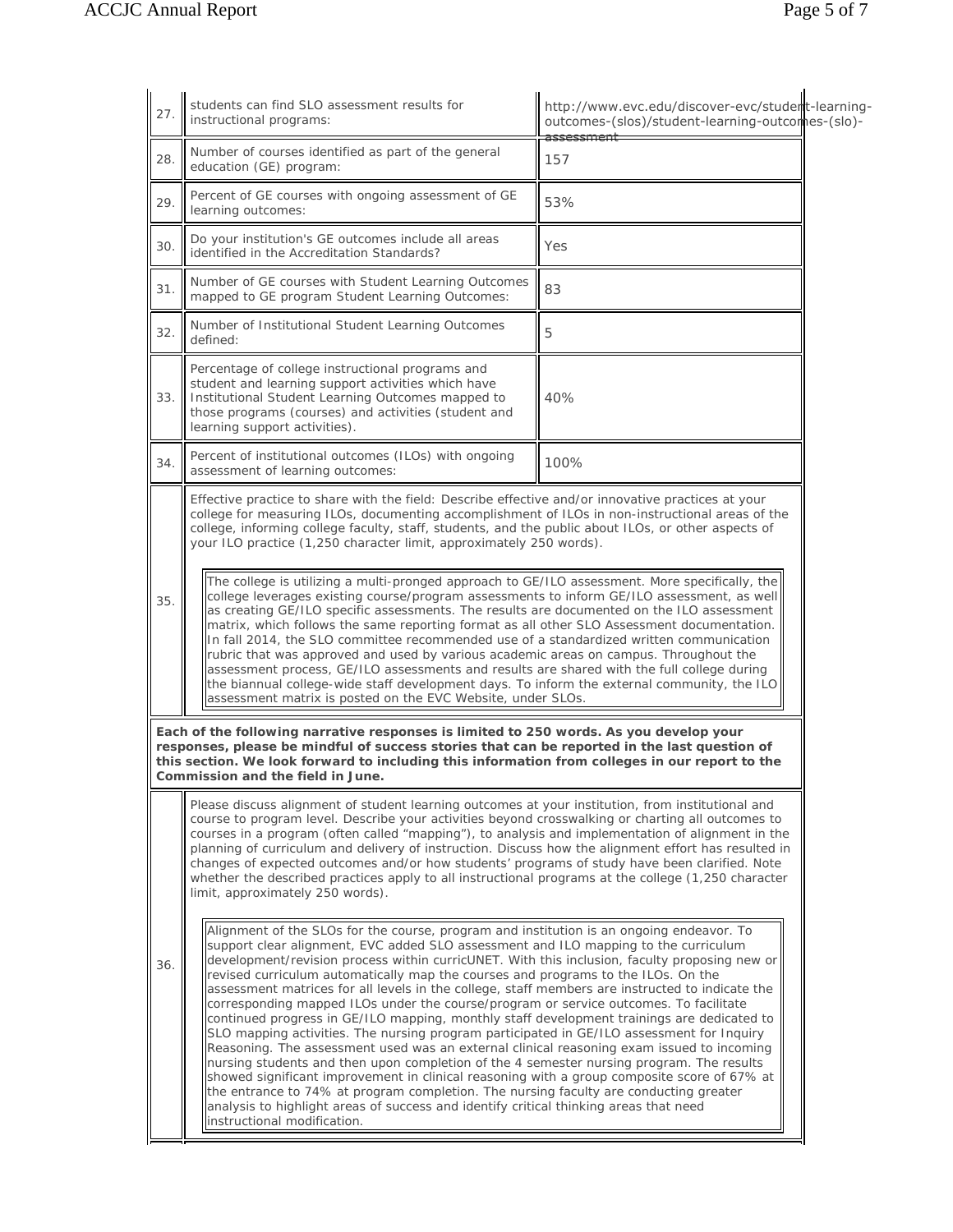| 27. | students can find SLO assessment results for<br>instructional programs:                                                                                                                                                                                                                                                                                                                                                                                                                                                                                                                                                                                                                                                                                                                                                                                                                                                                                                                                                                                                                                                                                                                                                         | http://www.evc.edu/discover-evc/student-learning-<br>outcomes-(slos)/student-learning-outcomes-(slo)- |  |
|-----|---------------------------------------------------------------------------------------------------------------------------------------------------------------------------------------------------------------------------------------------------------------------------------------------------------------------------------------------------------------------------------------------------------------------------------------------------------------------------------------------------------------------------------------------------------------------------------------------------------------------------------------------------------------------------------------------------------------------------------------------------------------------------------------------------------------------------------------------------------------------------------------------------------------------------------------------------------------------------------------------------------------------------------------------------------------------------------------------------------------------------------------------------------------------------------------------------------------------------------|-------------------------------------------------------------------------------------------------------|--|
| 28. | Number of courses identified as part of the general<br>education (GE) program:                                                                                                                                                                                                                                                                                                                                                                                                                                                                                                                                                                                                                                                                                                                                                                                                                                                                                                                                                                                                                                                                                                                                                  | 157                                                                                                   |  |
| 29. | Percent of GE courses with ongoing assessment of GE<br>learning outcomes:                                                                                                                                                                                                                                                                                                                                                                                                                                                                                                                                                                                                                                                                                                                                                                                                                                                                                                                                                                                                                                                                                                                                                       | 53%                                                                                                   |  |
| 30. | Do your institution's GE outcomes include all areas<br>identified in the Accreditation Standards?                                                                                                                                                                                                                                                                                                                                                                                                                                                                                                                                                                                                                                                                                                                                                                                                                                                                                                                                                                                                                                                                                                                               | Yes                                                                                                   |  |
| 31. | Number of GE courses with Student Learning Outcomes<br>mapped to GE program Student Learning Outcomes:                                                                                                                                                                                                                                                                                                                                                                                                                                                                                                                                                                                                                                                                                                                                                                                                                                                                                                                                                                                                                                                                                                                          | 83                                                                                                    |  |
| 32. | Number of Institutional Student Learning Outcomes<br>defined:                                                                                                                                                                                                                                                                                                                                                                                                                                                                                                                                                                                                                                                                                                                                                                                                                                                                                                                                                                                                                                                                                                                                                                   | 5                                                                                                     |  |
| 33. | Percentage of college instructional programs and<br>student and learning support activities which have<br>Institutional Student Learning Outcomes mapped to<br>those programs (courses) and activities (student and<br>learning support activities).                                                                                                                                                                                                                                                                                                                                                                                                                                                                                                                                                                                                                                                                                                                                                                                                                                                                                                                                                                            | 40%                                                                                                   |  |
| 34. | Percent of institutional outcomes (ILOs) with ongoing<br>assessment of learning outcomes:                                                                                                                                                                                                                                                                                                                                                                                                                                                                                                                                                                                                                                                                                                                                                                                                                                                                                                                                                                                                                                                                                                                                       | 100%                                                                                                  |  |
|     | Effective practice to share with the field: Describe effective and/or innovative practices at your<br>college for measuring ILOs, documenting accomplishment of ILOs in non-instructional areas of the<br>college, informing college faculty, staff, students, and the public about ILOs, or other aspects of<br>your ILO practice (1,250 character limit, approximately 250 words).<br>The college is utilizing a multi-pronged approach to GE/ILO assessment. More specifically, the<br>college leverages existing course/program assessments to inform GE/ILO assessment, as well<br>as creating GE/ILO specific assessments. The results are documented on the ILO assessment<br>matrix, which follows the same reporting format as all other SLO Assessment documentation.<br>In fall 2014, the SLO committee recommended use of a standardized written communication<br>rubric that was approved and used by various academic areas on campus. Throughout the<br>assessment process, GE/ILO assessments and results are shared with the full college during<br>the biannual college-wide staff development days. To inform the external community, the ILO<br>assessment matrix is posted on the EVC Website, under SLOs. |                                                                                                       |  |
| 35. |                                                                                                                                                                                                                                                                                                                                                                                                                                                                                                                                                                                                                                                                                                                                                                                                                                                                                                                                                                                                                                                                                                                                                                                                                                 |                                                                                                       |  |
|     | Each of the following narrative responses is limited to 250 words. As you develop your<br>responses, please be mindful of success stories that can be reported in the last question of<br>this section. We look forward to including this information from colleges in our report to the<br>Commission and the field in June.                                                                                                                                                                                                                                                                                                                                                                                                                                                                                                                                                                                                                                                                                                                                                                                                                                                                                                   |                                                                                                       |  |
|     | Please discuss alignment of student learning outcomes at your institution, from institutional and<br>course to program level. Describe your activities beyond crosswalking or charting all outcomes to<br>courses in a program (often called "mapping"), to analysis and implementation of alignment in the<br>planning of curriculum and delivery of instruction. Discuss how the alignment effort has resulted in<br>changes of expected outcomes and/or how students' programs of study have been clarified. Note<br>whether the described practices apply to all instructional programs at the college (1,250 character<br>limit, approximately 250 words).                                                                                                                                                                                                                                                                                                                                                                                                                                                                                                                                                                 |                                                                                                       |  |
|     |                                                                                                                                                                                                                                                                                                                                                                                                                                                                                                                                                                                                                                                                                                                                                                                                                                                                                                                                                                                                                                                                                                                                                                                                                                 |                                                                                                       |  |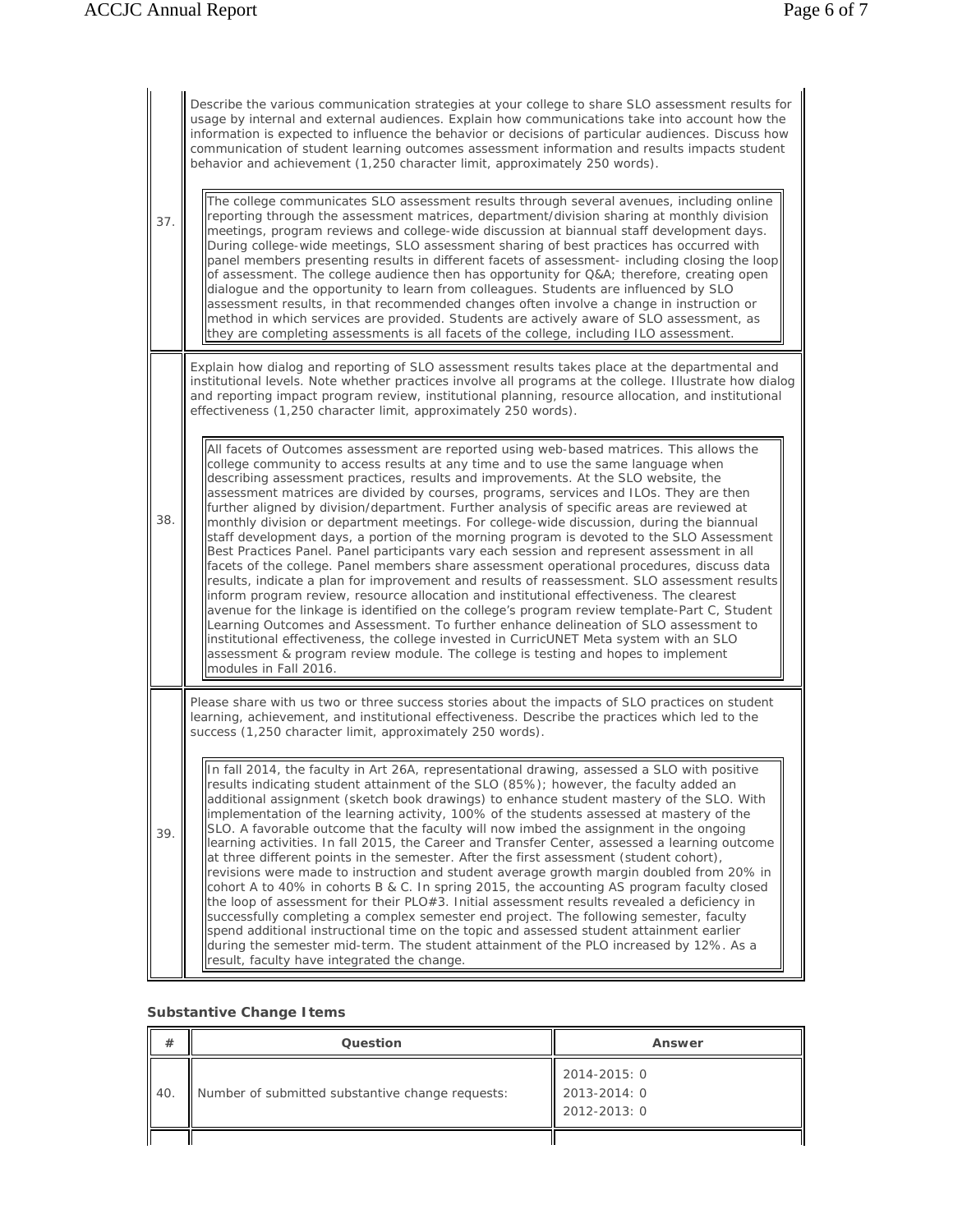|     |     | Describe the various communication strategies at your college to share SLO assessment results for<br>usage by internal and external audiences. Explain how communications take into account how the<br>information is expected to influence the behavior or decisions of particular audiences. Discuss how<br>communication of student learning outcomes assessment information and results impacts student<br>behavior and achievement (1,250 character limit, approximately 250 words).                                                                                                                                                                                                                                                                                                                                                                                                                                                                                                                                                                                                                                                                                                                                                                                                                                                                                                                                                        |
|-----|-----|--------------------------------------------------------------------------------------------------------------------------------------------------------------------------------------------------------------------------------------------------------------------------------------------------------------------------------------------------------------------------------------------------------------------------------------------------------------------------------------------------------------------------------------------------------------------------------------------------------------------------------------------------------------------------------------------------------------------------------------------------------------------------------------------------------------------------------------------------------------------------------------------------------------------------------------------------------------------------------------------------------------------------------------------------------------------------------------------------------------------------------------------------------------------------------------------------------------------------------------------------------------------------------------------------------------------------------------------------------------------------------------------------------------------------------------------------|
| 37. |     | The college communicates SLO assessment results through several avenues, including online<br>reporting through the assessment matrices, department/division sharing at monthly division<br>meetings, program reviews and college-wide discussion at biannual staff development days.<br>During college-wide meetings, SLO assessment sharing of best practices has occurred with<br>panel members presenting results in different facets of assessment- including closing the loop<br>of assessment. The college audience then has opportunity for Q&A therefore, creating open<br>dialogue and the opportunity to learn from colleagues. Students are influenced by SLO<br>assessment results, in that recommended changes often involve a change in instruction or<br>method in which services are provided. Students are actively aware of SLO assessment, as<br>they are completing assessments is all facets of the college, including ILO assessment.                                                                                                                                                                                                                                                                                                                                                                                                                                                                                      |
|     |     | Explain how dialog and reporting of SLO assessment results takes place at the departmental and<br>institutional levels. Note whether practices involve all programs at the college. Illustrate how dialog<br>and reporting impact program review, institutional planning, resource allocation, and institutional<br>effectiveness (1,250 character limit, approximately 250 words).                                                                                                                                                                                                                                                                                                                                                                                                                                                                                                                                                                                                                                                                                                                                                                                                                                                                                                                                                                                                                                                              |
|     | 38. | All facets of Outcomes assessment are reported using web-based matrices. This allows the<br>college community to access results at any time and to use the same language when<br>describing assessment practices, results and improvements. At the SLO website, the<br>assessment matrices are divided by courses, programs, services and ILOs. They are then<br>further aligned by division/department. Further analysis of specific areas are reviewed at<br>monthly division or department meetings. For college-wide discussion, during the biannual<br>staff development days, a portion of the morning program is devoted to the SLO Assessment<br>Best Practices Panel. Panel participants vary each session and represent assessment in all<br>facets of the college. Panel members share assessment operational procedures, discuss data<br>results, indicate a plan for improvement and results of reassessment. SLO assessment results<br>inform program review, resource allocation and institutional effectiveness. The clearest<br>avenue for the linkage is identified on the college's program review template-Part C, Student<br>Learning Outcomes and Assessment. To further enhance delineation of SLO assessment to<br>institutional effectiveness, the college invested in CurricUNET Meta system with an SLO<br>assessment & program review module. The college is testing and hopes to implement<br>modules in Fall 2016. |
|     |     | Please share with us two or three success stories about the impacts of SLO practices on student<br>learning, achievement, and institutional effectiveness. Describe the practices which led to the<br>success (1,250 character limit, approximately 250 words).                                                                                                                                                                                                                                                                                                                                                                                                                                                                                                                                                                                                                                                                                                                                                                                                                                                                                                                                                                                                                                                                                                                                                                                  |
|     | 39. | In fall 2014, the faculty in Art 26A, representational drawing, assessed a SLO with positive<br>results indicating student attainment of the SLO (85%); however, the faculty added an<br>additional assignment (sketch book drawings) to enhance student mastery of the SLO. With<br>implementation of the learning activity, 100% of the students assessed at mastery of the<br>SLO. A favorable outcome that the faculty will now imbed the assignment in the ongoing<br>learning activities. In fall 2015, the Career and Transfer Center, assessed a learning outcome<br>at three different points in the semester. After the first assessment (student cohort),<br>revisions were made to instruction and student average growth margin doubled from 20% in<br>cohort A to 40% in cohorts B & C. In spring 2015, the accounting AS program faculty closed<br>the loop of assessment for their PLO#3. Initial assessment results revealed a deficiency in<br>successfully completing a complex semester end project. The following semester, faculty<br>spend additional instructional time on the topic and assessed student attainment earlier<br>during the semester mid-term. The student attainment of the PLO increased by 12%. As a<br>result, faculty have integrated the change.                                                                                                                                                    |

## **Substantive Change Items**

| #     | Question                                         | Answer                                       |
|-------|--------------------------------------------------|----------------------------------------------|
| ll 40 | Number of submitted substantive change requests: | 2014-2015: 0<br>2013-2014: 0<br>2012-2013: 0 |
|       |                                                  |                                              |